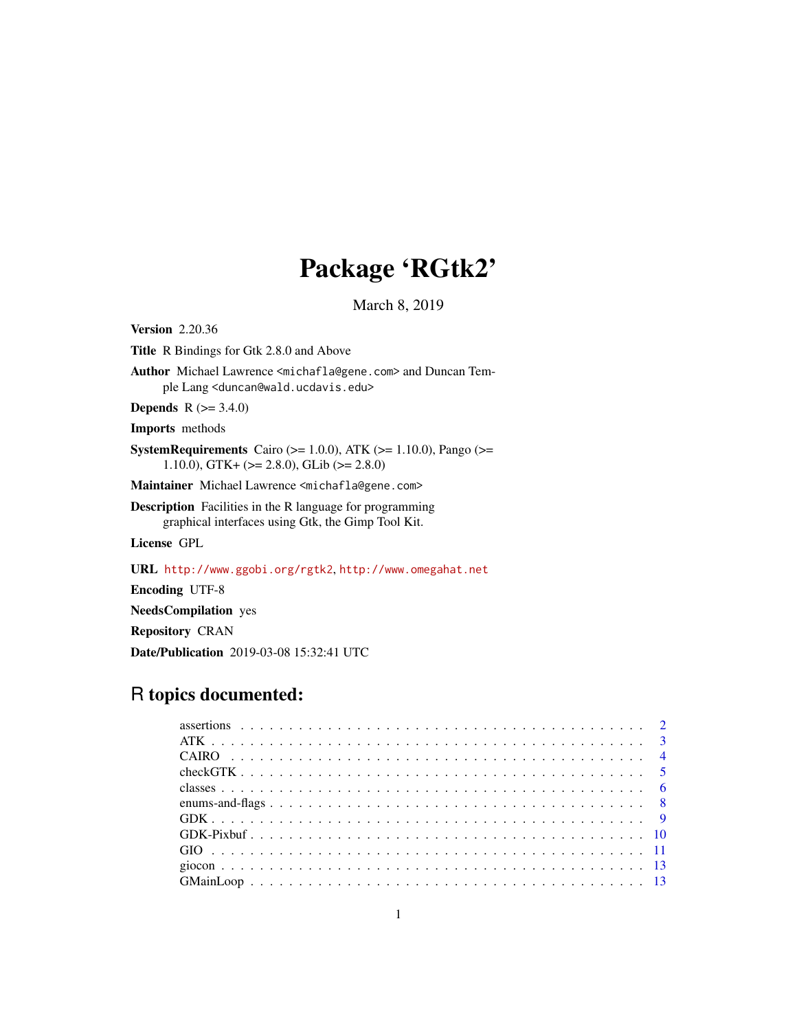# Package 'RGtk2'

March 8, 2019

Title R Bindings for Gtk 2.8.0 and Above Author Michael Lawrence <michafla@gene.com> and Duncan Temple Lang <duncan@wald.ucdavis.edu> **Depends**  $R$  ( $>= 3.4.0$ ) Imports methods SystemRequirements Cairo ( $>= 1.0.0$ ), ATK ( $>= 1.10.0$ ), Pango ( $>=$ 1.10.0), GTK+ (>= 2.8.0), GLib (>= 2.8.0) Maintainer Michael Lawrence <michafla@gene.com> Description Facilities in the R language for programming graphical interfaces using Gtk, the Gimp Tool Kit. License GPL

URL <http://www.ggobi.org/rgtk2>, <http://www.omegahat.net>

Encoding UTF-8

<span id="page-0-0"></span>Version 2.20.36

NeedsCompilation yes

Repository CRAN

Date/Publication 2019-03-08 15:32:41 UTC

# R topics documented: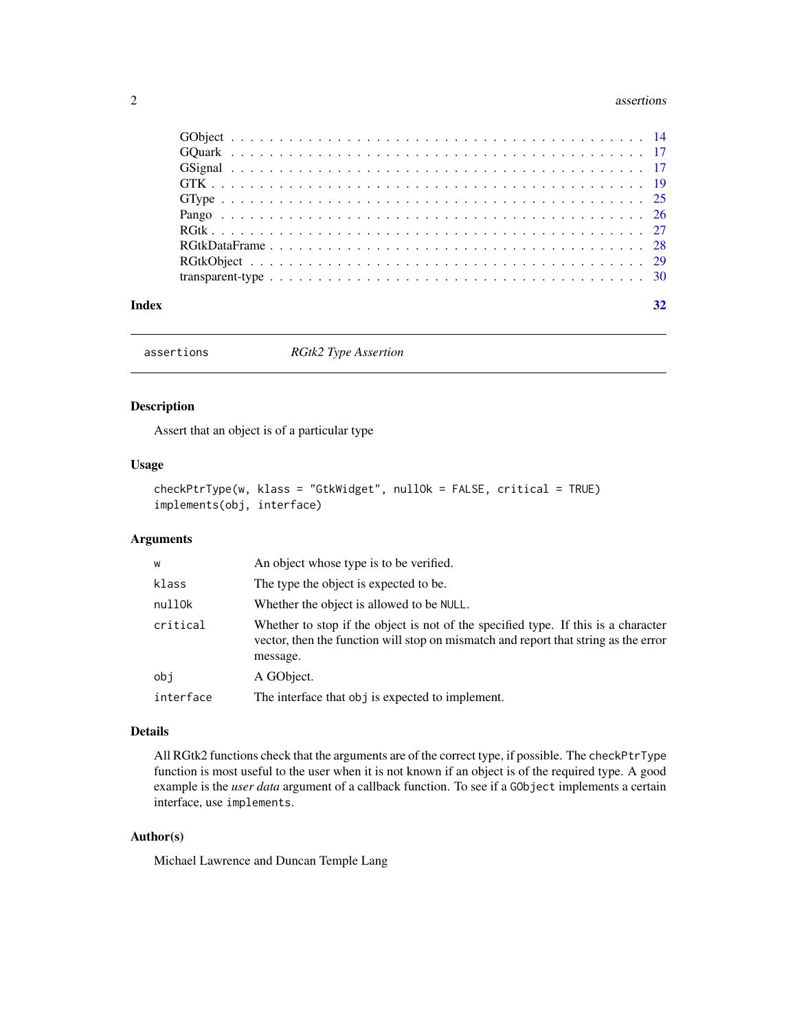#### <span id="page-1-0"></span>2 assertions assertions of the contract of the contract of the contract of the contract of the contract of the contract of the contract of the contract of the contract of the contract of the contract of the contract of the

| Index |  |
|-------|--|

assertions *RGtk2 Type Assertion*

# Description

Assert that an object is of a particular type

# Usage

```
checkPtrType(w, klass = "GtkWidget", nullOk = FALSE, critical = TRUE)
implements(obj, interface)
```
# Arguments

| W         | An object whose type is to be verified.                                                                                                                                               |
|-----------|---------------------------------------------------------------------------------------------------------------------------------------------------------------------------------------|
| klass     | The type the object is expected to be.                                                                                                                                                |
| nullOk    | Whether the object is allowed to be NULL.                                                                                                                                             |
| critical  | Whether to stop if the object is not of the specified type. If this is a character<br>vector, then the function will stop on mismatch and report that string as the error<br>message. |
| obi       | A GObject.                                                                                                                                                                            |
| interface | The interface that obj is expected to implement.                                                                                                                                      |

# Details

All RGtk2 functions check that the arguments are of the correct type, if possible. The checkPtrType function is most useful to the user when it is not known if an object is of the required type. A good example is the *user data* argument of a callback function. To see if a GObject implements a certain interface, use implements.

# Author(s)

Michael Lawrence and Duncan Temple Lang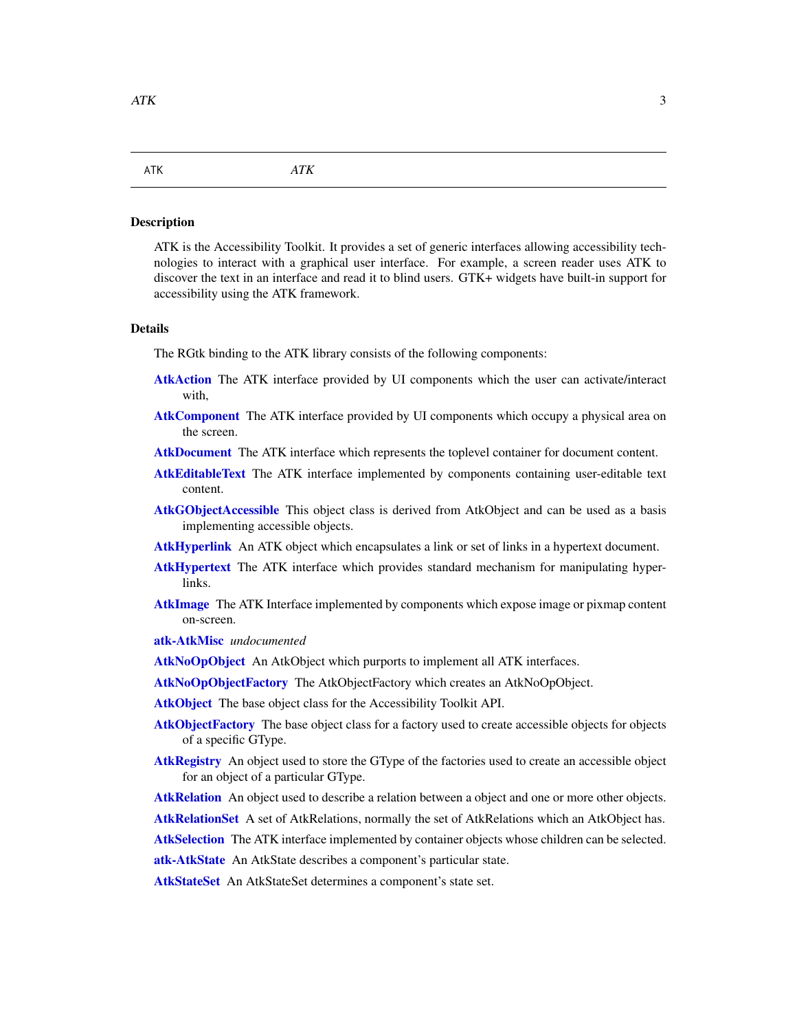#### <span id="page-2-1"></span><span id="page-2-0"></span>Description

ATK is the Accessibility Toolkit. It provides a set of generic interfaces allowing accessibility technologies to interact with a graphical user interface. For example, a screen reader uses ATK to discover the text in an interface and read it to blind users. GTK+ widgets have built-in support for accessibility using the ATK framework.

# Details

The RGtk binding to the ATK library consists of the following components:

- [AtkAction](#page-0-0) The ATK interface provided by UI components which the user can activate/interact with,
- [AtkComponent](#page-0-0) The ATK interface provided by UI components which occupy a physical area on the screen.
- [AtkDocument](#page-0-0) The ATK interface which represents the toplevel container for document content.
- [AtkEditableText](#page-0-0) The ATK interface implemented by components containing user-editable text content.
- [AtkGObjectAccessible](#page-0-0) This object class is derived from AtkObject and can be used as a basis implementing accessible objects.
- [AtkHyperlink](#page-0-0) An ATK object which encapsulates a link or set of links in a hypertext document.
- [AtkHypertext](#page-0-0) The ATK interface which provides standard mechanism for manipulating hyperlinks.
- [AtkImage](#page-0-0) The ATK Interface implemented by components which expose image or pixmap content on-screen.
- [atk-AtkMisc](#page-0-0) *undocumented*
- [AtkNoOpObject](#page-0-0) An AtkObject which purports to implement all ATK interfaces.
- [AtkNoOpObjectFactory](#page-0-0) The AtkObjectFactory which creates an AtkNoOpObject.
- [AtkObject](#page-0-0) The base object class for the Accessibility Toolkit API.
- [AtkObjectFactory](#page-0-0) The base object class for a factory used to create accessible objects for objects of a specific GType.
- [AtkRegistry](#page-0-0) An object used to store the GType of the factories used to create an accessible object for an object of a particular GType.
- [AtkRelation](#page-0-0) An object used to describe a relation between a object and one or more other objects.
- [AtkRelationSet](#page-0-0) A set of AtkRelations, normally the set of AtkRelations which an AtkObject has.
- [AtkSelection](#page-0-0) The ATK interface implemented by container objects whose children can be selected.
- [atk-AtkState](#page-0-0) An AtkState describes a component's particular state.

[AtkStateSet](#page-0-0) An AtkStateSet determines a component's state set.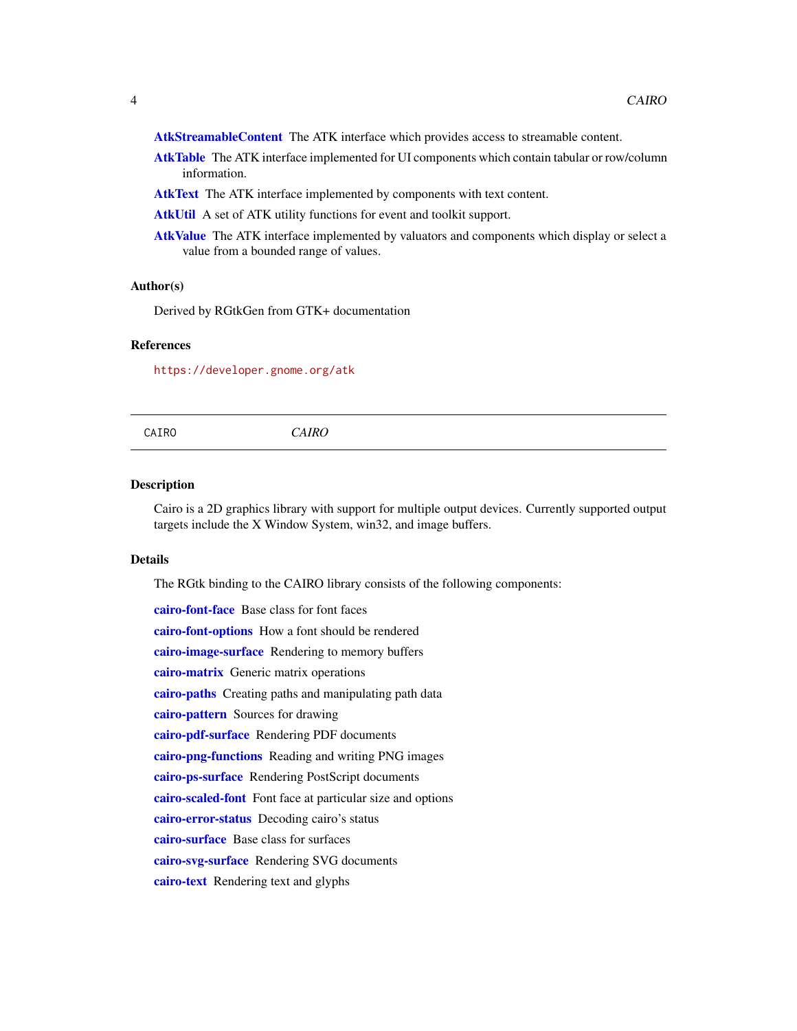<span id="page-3-0"></span>[AtkStreamableContent](#page-0-0) The ATK interface which provides access to streamable content.

- [AtkTable](#page-0-0) The ATK interface implemented for UI components which contain tabular or row/column information.
- [AtkText](#page-0-0) The ATK interface implemented by components with text content.
- [AtkUtil](#page-0-0) A set of ATK utility functions for event and toolkit support.
- [AtkValue](#page-0-0) The ATK interface implemented by valuators and components which display or select a value from a bounded range of values.

# Author(s)

Derived by RGtkGen from GTK+ documentation

# References

<https://developer.gnome.org/atk>

CAIRO *CAIRO*

#### Description

Cairo is a 2D graphics library with support for multiple output devices. Currently supported output targets include the X Window System, win32, and image buffers.

#### Details

The RGtk binding to the CAIRO library consists of the following components:

[cairo-font-face](#page-0-0) Base class for font faces [cairo-font-options](#page-0-0) How a font should be rendered [cairo-image-surface](#page-0-0) Rendering to memory buffers [cairo-matrix](#page-0-0) Generic matrix operations [cairo-paths](#page-0-0) Creating paths and manipulating path data [cairo-pattern](#page-0-0) Sources for drawing [cairo-pdf-surface](#page-0-0) Rendering PDF documents [cairo-png-functions](#page-0-0) Reading and writing PNG images [cairo-ps-surface](#page-0-0) Rendering PostScript documents [cairo-scaled-font](#page-0-0) Font face at particular size and options [cairo-error-status](#page-0-0) Decoding cairo's status [cairo-surface](#page-0-0) Base class for surfaces [cairo-svg-surface](#page-0-0) Rendering SVG documents [cairo-text](#page-0-0) Rendering text and glyphs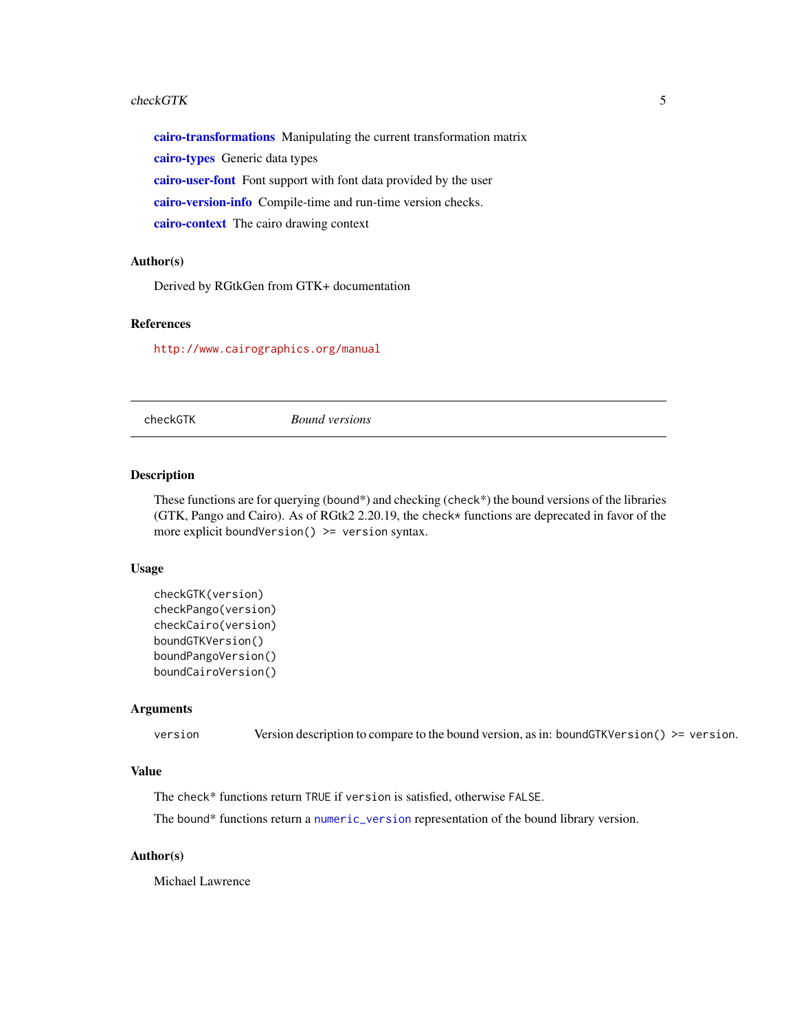#### <span id="page-4-0"></span>checkGTK 5

[cairo-transformations](#page-0-0) Manipulating the current transformation matrix [cairo-types](#page-0-0) Generic data types [cairo-user-font](#page-0-0) Font support with font data provided by the user [cairo-version-info](#page-0-0) Compile-time and run-time version checks. [cairo-context](#page-0-0) The cairo drawing context

# Author(s)

Derived by RGtkGen from GTK+ documentation

# References

<http://www.cairographics.org/manual>

checkGTK *Bound versions*

# Description

These functions are for querying (bound\*) and checking (check\*) the bound versions of the libraries (GTK, Pango and Cairo). As of RGtk2 2.20.19, the check\* functions are deprecated in favor of the more explicit boundVersion()  $> =$  version syntax.

#### Usage

```
checkGTK(version)
checkPango(version)
checkCairo(version)
boundGTKVersion()
boundPangoVersion()
boundCairoVersion()
```
# Arguments

version Version description to compare to the bound version, as in: boundGTKVersion() >= version.

# Value

The check\* functions return TRUE if version is satisfied, otherwise FALSE.

The bound\* functions return a [numeric\\_version](#page-0-0) representation of the bound library version.

# Author(s)

Michael Lawrence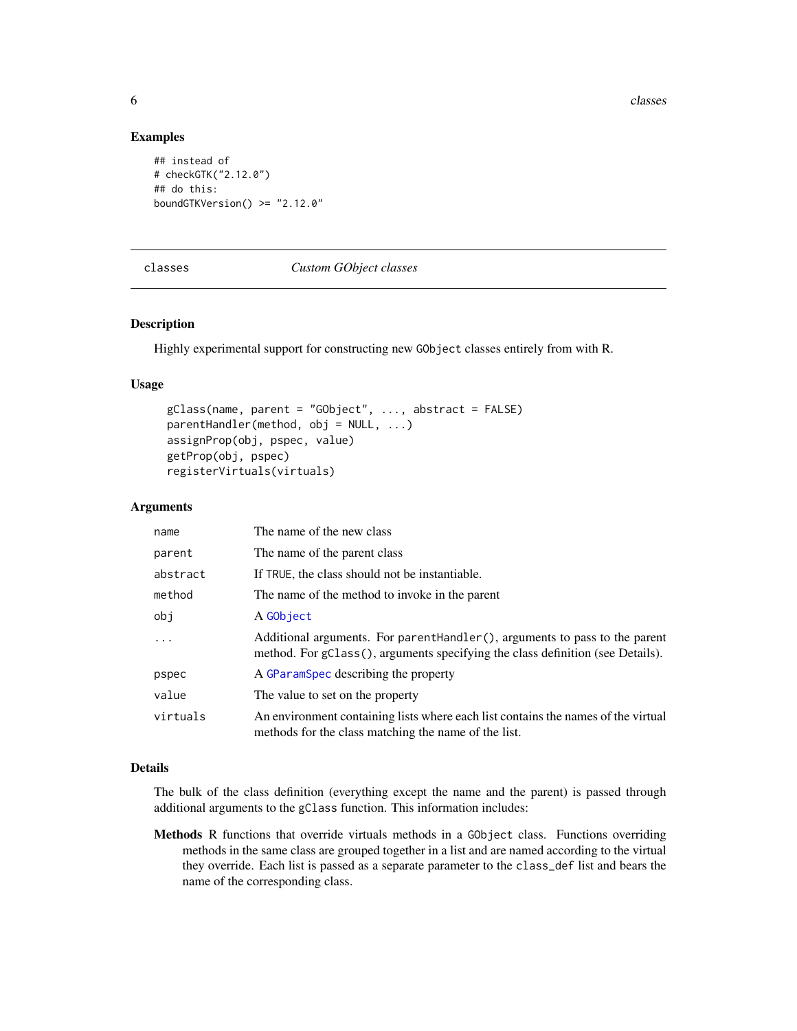**6** classes and the contract of the classes of the classes of the classes of the classes of the classes of the classes of the classes of the classes of the classes of the classes of the classes of the classes of the classe

# Examples

```
## instead of
# checkGTK("2.12.0")
## do this:
boundGTKVersion() >= "2.12.0"
```
#### classes *Custom GObject classes*

# Description

Highly experimental support for constructing new GObject classes entirely from with R.

# Usage

```
gClass(name, parent = "GObject", ..., abstract = FALSE)
parentHandler(method, obj = NULL, ...)
assignProp(obj, pspec, value)
getProp(obj, pspec)
registerVirtuals(virtuals)
```
# Arguments

| name     | The name of the new class                                                                                                                                    |
|----------|--------------------------------------------------------------------------------------------------------------------------------------------------------------|
| parent   | The name of the parent class                                                                                                                                 |
| abstract | If TRUE, the class should not be instantiable.                                                                                                               |
| method   | The name of the method to invoke in the parent                                                                                                               |
| obj      | A GObject                                                                                                                                                    |
| $\ddots$ | Additional arguments. For parenthandler(), arguments to pass to the parent<br>method. For gClass(), arguments specifying the class definition (see Details). |
| pspec    | A GParamSpec describing the property                                                                                                                         |
| value    | The value to set on the property                                                                                                                             |
| virtuals | An environment containing lists where each list contains the names of the virtual<br>methods for the class matching the name of the list.                    |

# Details

The bulk of the class definition (everything except the name and the parent) is passed through additional arguments to the gClass function. This information includes:

Methods R functions that override virtuals methods in a GObject class. Functions overriding methods in the same class are grouped together in a list and are named according to the virtual they override. Each list is passed as a separate parameter to the class\_def list and bears the name of the corresponding class.

<span id="page-5-0"></span>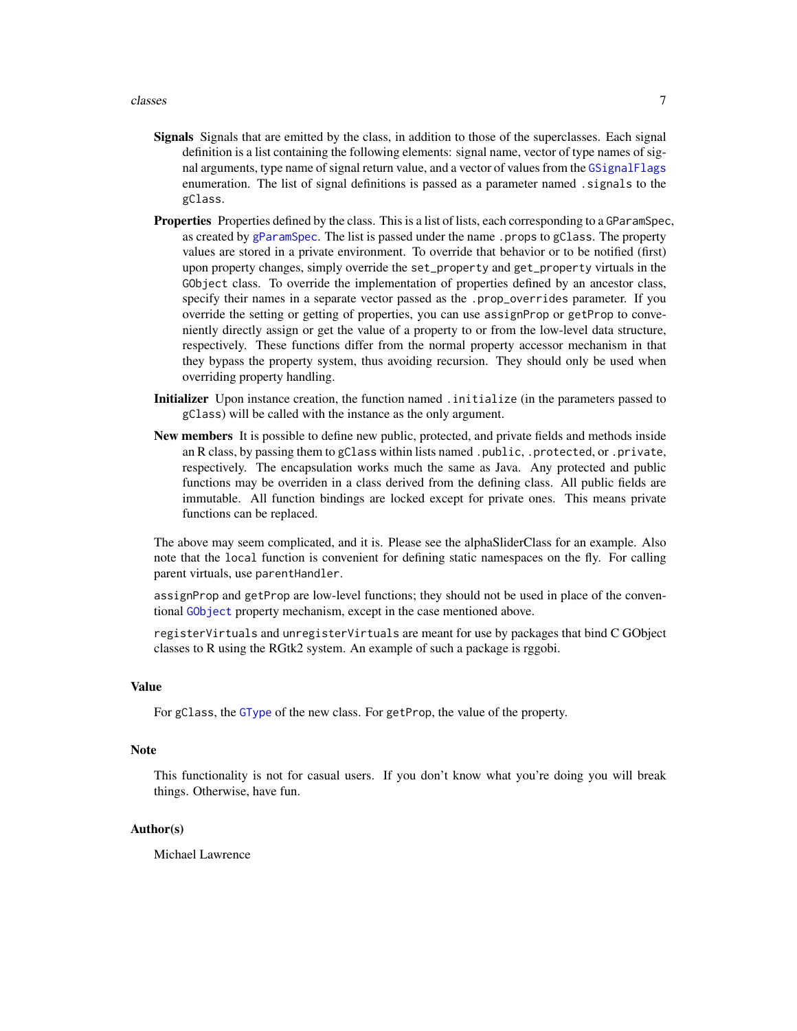- <span id="page-6-0"></span>Signals Signals that are emitted by the class, in addition to those of the superclasses. Each signal definition is a list containing the following elements: signal name, vector of type names of signal arguments, type name of signal return value, and a vector of values from the [GSignalFlags](#page-16-1) enumeration. The list of signal definitions is passed as a parameter named . signals to the gClass.
- Properties Properties defined by the class. This is a list of lists, each corresponding to a GParamSpec, as created by [gParamSpec](#page-0-0). The list is passed under the name .props to gClass. The property values are stored in a private environment. To override that behavior or to be notified (first) upon property changes, simply override the set\_property and get\_property virtuals in the GObject class. To override the implementation of properties defined by an ancestor class, specify their names in a separate vector passed as the .prop\_overrides parameter. If you override the setting or getting of properties, you can use assignProp or getProp to conveniently directly assign or get the value of a property to or from the low-level data structure, respectively. These functions differ from the normal property accessor mechanism in that they bypass the property system, thus avoiding recursion. They should only be used when overriding property handling.
- Initializer Upon instance creation, the function named .initialize (in the parameters passed to gClass) will be called with the instance as the only argument.
- New members It is possible to define new public, protected, and private fields and methods inside an R class, by passing them to gClass within lists named .public, .protected, or .private, respectively. The encapsulation works much the same as Java. Any protected and public functions may be overriden in a class derived from the defining class. All public fields are immutable. All function bindings are locked except for private ones. This means private functions can be replaced.

The above may seem complicated, and it is. Please see the alphaSliderClass for an example. Also note that the local function is convenient for defining static namespaces on the fly. For calling parent virtuals, use parentHandler.

assignProp and getProp are low-level functions; they should not be used in place of the conventional [GObject](#page-13-1) property mechanism, except in the case mentioned above.

registerVirtuals and unregisterVirtuals are meant for use by packages that bind C GObject classes to R using the RGtk2 system. An example of such a package is rggobi.

# Value

For gClass, the [GType](#page-24-1) of the new class. For getProp, the value of the property.

#### **Note**

This functionality is not for casual users. If you don't know what you're doing you will break things. Otherwise, have fun.

# Author(s)

Michael Lawrence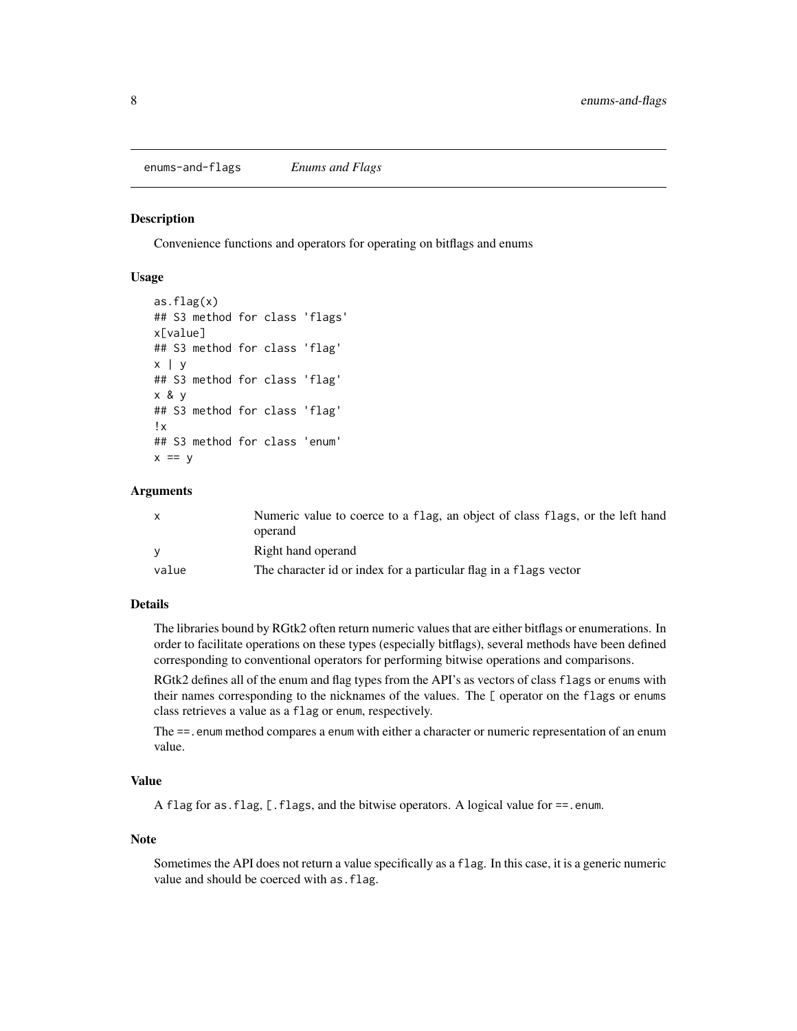#### <span id="page-7-0"></span>**Description**

Convenience functions and operators for operating on bitflags and enums

# Usage

```
as.flag(x)
## S3 method for class 'flags'
x[value]
## S3 method for class 'flag'
x | y
## S3 method for class 'flag'
x & y
## S3 method for class 'flag'
!x
## S3 method for class 'enum'
x == y
```
#### Arguments

| $\mathsf{x}$ | Numeric value to coerce to a flag, an object of class flags, or the left hand |
|--------------|-------------------------------------------------------------------------------|
|              | operand                                                                       |
| <b>V</b>     | Right hand operand                                                            |
| value        | The character id or index for a particular flag in a flags vector             |

# Details

The libraries bound by RGtk2 often return numeric values that are either bitflags or enumerations. In order to facilitate operations on these types (especially bitflags), several methods have been defined corresponding to conventional operators for performing bitwise operations and comparisons.

RGtk2 defines all of the enum and flag types from the API's as vectors of class flags or enums with their names corresponding to the nicknames of the values. The [ operator on the flags or enums class retrieves a value as a flag or enum, respectively.

The ==. enum method compares a enum with either a character or numeric representation of an enum value.

# Value

A flag for as.flag, [.flags, and the bitwise operators. A logical value for ==.enum.

# Note

Sometimes the API does not return a value specifically as a flag. In this case, it is a generic numeric value and should be coerced with as.flag.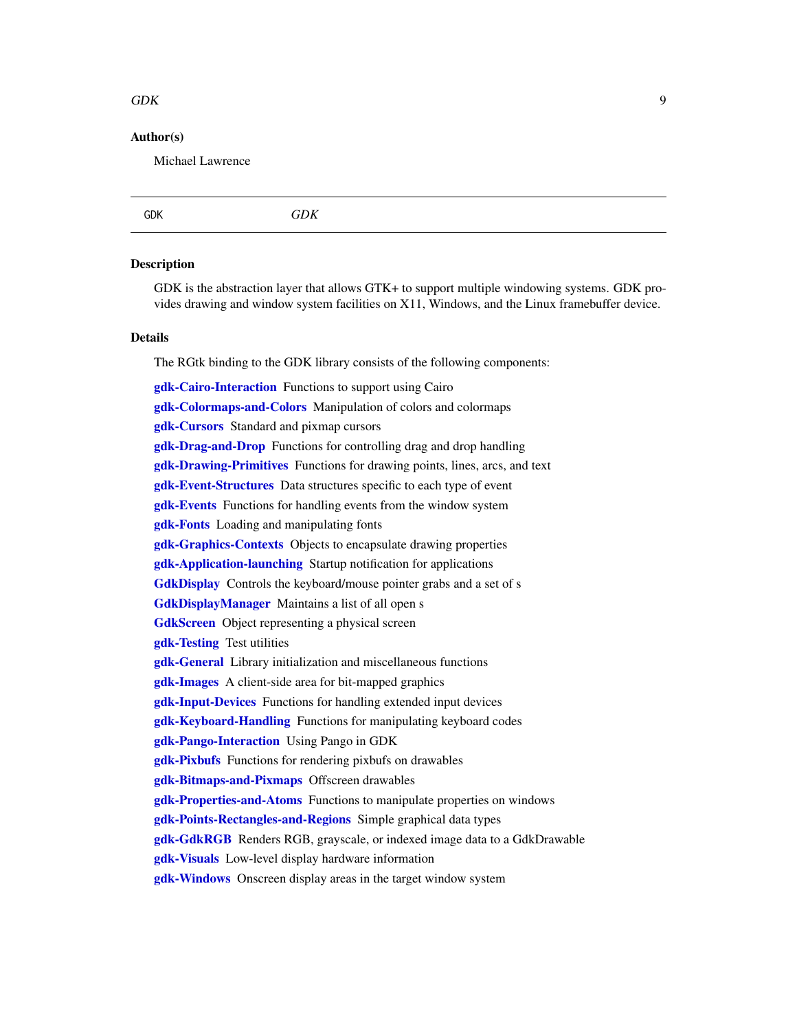#### <span id="page-8-0"></span> $GDK$  9

# Author(s)

Michael Lawrence

<span id="page-8-1"></span>

|--|--|

# **Description**

GDK is the abstraction layer that allows GTK+ to support multiple windowing systems. GDK provides drawing and window system facilities on X11, Windows, and the Linux framebuffer device.

# Details

The RGtk binding to the GDK library consists of the following components:

[gdk-Cairo-Interaction](#page-0-0) Functions to support using Cairo [gdk-Colormaps-and-Colors](#page-0-0) Manipulation of colors and colormaps [gdk-Cursors](#page-0-0) Standard and pixmap cursors **[gdk-Drag-and-Drop](#page-0-0)** Functions for controlling drag and drop handling [gdk-Drawing-Primitives](#page-0-0) Functions for drawing points, lines, arcs, and text [gdk-Event-Structures](#page-0-0) Data structures specific to each type of event **[gdk-Events](#page-0-0)** Functions for handling events from the window system **[gdk-Fonts](#page-0-0)** Loading and manipulating fonts [gdk-Graphics-Contexts](#page-0-0) Objects to encapsulate drawing properties [gdk-Application-launching](#page-0-0) Startup notification for applications [GdkDisplay](#page-0-0) Controls the keyboard/mouse pointer grabs and a set of s [GdkDisplayManager](#page-0-0) Maintains a list of all open s [GdkScreen](#page-0-0) Object representing a physical screen [gdk-Testing](#page-0-0) Test utilities [gdk-General](#page-0-0) Library initialization and miscellaneous functions [gdk-Images](#page-0-0) A client-side area for bit-mapped graphics [gdk-Input-Devices](#page-0-0) Functions for handling extended input devices [gdk-Keyboard-Handling](#page-0-0) Functions for manipulating keyboard codes [gdk-Pango-Interaction](#page-0-0) Using Pango in GDK **[gdk-Pixbufs](#page-0-0)** Functions for rendering pixbufs on drawables [gdk-Bitmaps-and-Pixmaps](#page-0-0) Offscreen drawables [gdk-Properties-and-Atoms](#page-0-0) Functions to manipulate properties on windows [gdk-Points-Rectangles-and-Regions](#page-0-0) Simple graphical data types **[gdk-GdkRGB](#page-0-0)** Renders RGB, grayscale, or indexed image data to a GdkDrawable [gdk-Visuals](#page-0-0) Low-level display hardware information [gdk-Windows](#page-0-0) Onscreen display areas in the target window system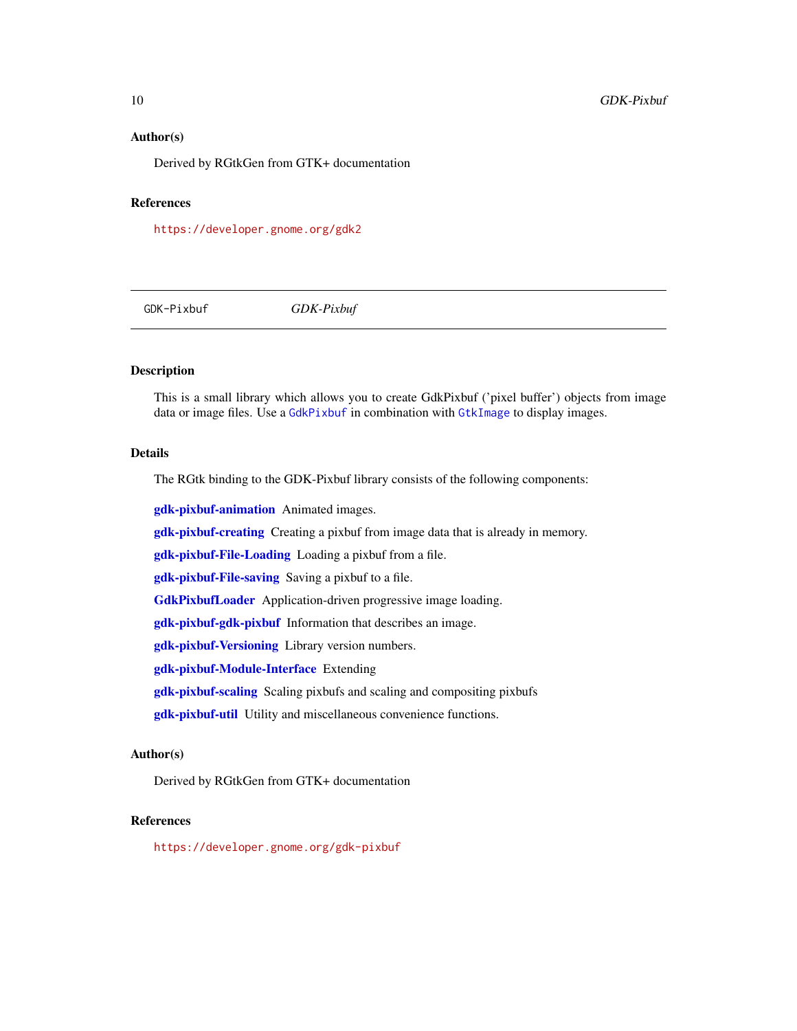# <span id="page-9-0"></span>Author(s)

Derived by RGtkGen from GTK+ documentation

# References

<https://developer.gnome.org/gdk2>

<span id="page-9-1"></span>GDK-Pixbuf *GDK-Pixbuf*

# Description

This is a small library which allows you to create GdkPixbuf ('pixel buffer') objects from image data or image files. Use a [GdkPixbuf](#page-0-0) in combination with [GtkImage](#page-0-0) to display images.

# Details

The RGtk binding to the GDK-Pixbuf library consists of the following components:

[gdk-pixbuf-animation](#page-0-0) Animated images.

[gdk-pixbuf-creating](#page-0-0) Creating a pixbuf from image data that is already in memory.

[gdk-pixbuf-File-Loading](#page-0-0) Loading a pixbuf from a file.

[gdk-pixbuf-File-saving](#page-0-0) Saving a pixbuf to a file.

[GdkPixbufLoader](#page-0-0) Application-driven progressive image loading.

[gdk-pixbuf-gdk-pixbuf](#page-0-0) Information that describes an image.

[gdk-pixbuf-Versioning](#page-0-0) Library version numbers.

[gdk-pixbuf-Module-Interface](#page-0-0) Extending

[gdk-pixbuf-scaling](#page-0-0) Scaling pixbufs and scaling and compositing pixbufs

[gdk-pixbuf-util](#page-0-0) Utility and miscellaneous convenience functions.

# Author(s)

Derived by RGtkGen from GTK+ documentation

#### References

<https://developer.gnome.org/gdk-pixbuf>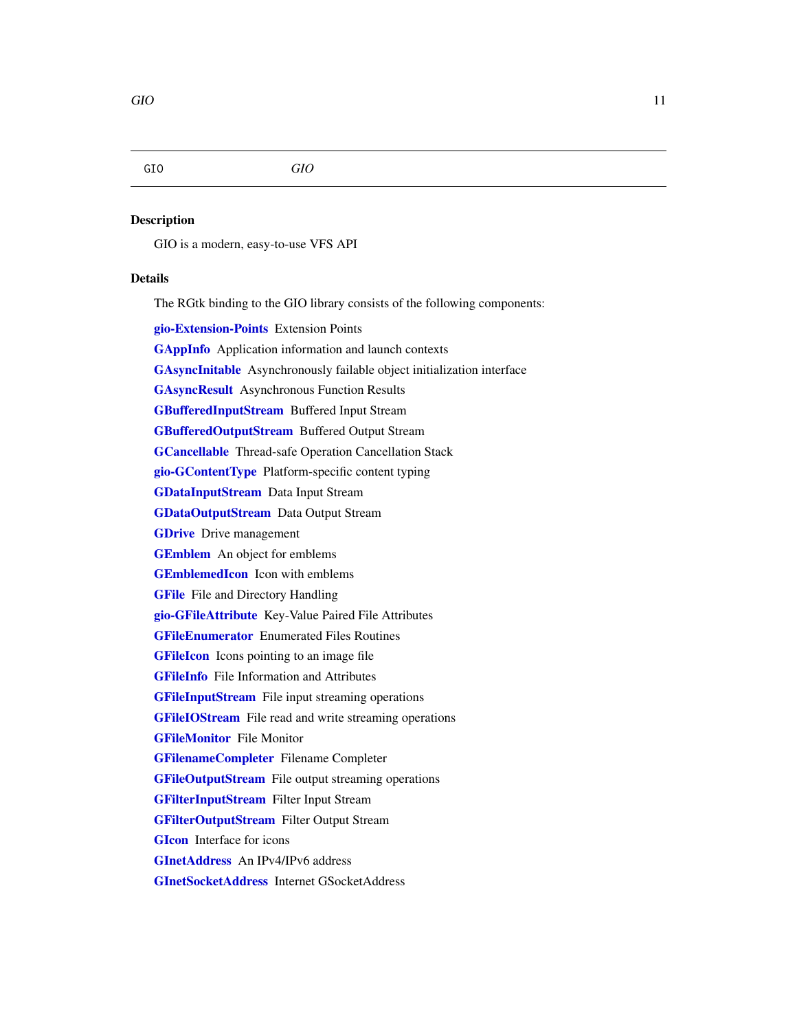# <span id="page-10-0"></span>GIO *GIO*

# **Description**

GIO is a modern, easy-to-use VFS API

# Details

The RGtk binding to the GIO library consists of the following components:

[gio-Extension-Points](#page-0-0) Extension Points

**[GAppInfo](#page-0-0)** Application information and launch contexts

[GAsyncInitable](#page-0-0) Asynchronously failable object initialization interface

[GAsyncResult](#page-0-0) Asynchronous Function Results

[GBufferedInputStream](#page-0-0) Buffered Input Stream

[GBufferedOutputStream](#page-0-0) Buffered Output Stream

[GCancellable](#page-0-0) Thread-safe Operation Cancellation Stack

[gio-GContentType](#page-0-0) Platform-specific content typing

[GDataInputStream](#page-0-0) Data Input Stream

[GDataOutputStream](#page-0-0) Data Output Stream

**[GDrive](#page-0-0)** Drive management

[GEmblem](#page-0-0) An object for emblems

[GEmblemedIcon](#page-0-0) Icon with emblems

**[GFile](#page-0-0)** File and Directory Handling

[gio-GFileAttribute](#page-0-0) Key-Value Paired File Attributes

[GFileEnumerator](#page-0-0) Enumerated Files Routines

**[GFileIcon](#page-0-0)** Icons pointing to an image file

[GFileInfo](#page-0-0) File Information and Attributes

**[GFileInputStream](#page-0-0)** File input streaming operations

**[GFileIOStream](#page-0-0)** File read and write streaming operations

**[GFileMonitor](#page-0-0)** File Monitor

[GFilenameCompleter](#page-0-0) Filename Completer

[GFileOutputStream](#page-0-0) File output streaming operations

[GFilterInputStream](#page-0-0) Filter Input Stream

[GFilterOutputStream](#page-0-0) Filter Output Stream

**[GIcon](#page-0-0)** Interface for icons

[GInetAddress](#page-0-0) An IPv4/IPv6 address

[GInetSocketAddress](#page-0-0) Internet GSocketAddress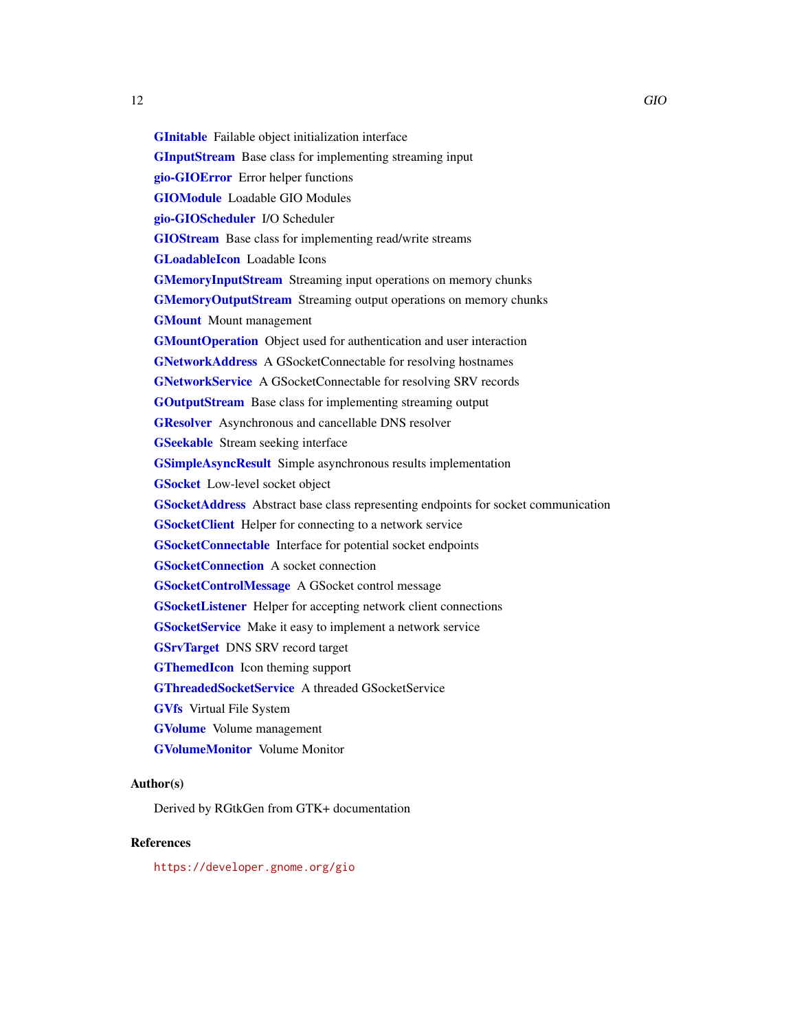<span id="page-11-0"></span>[GInitable](#page-0-0) Failable object initialization interface **[GInputStream](#page-0-0)** Base class for implementing streaming input [gio-GIOError](#page-0-0) Error helper functions [GIOModule](#page-0-0) Loadable GIO Modules [gio-GIOScheduler](#page-0-0) I/O Scheduler [GIOStream](#page-0-0) Base class for implementing read/write streams [GLoadableIcon](#page-0-0) Loadable Icons **[GMemoryInputStream](#page-0-0)** Streaming input operations on memory chunks **[GMemoryOutputStream](#page-0-0)** Streaming output operations on memory chunks **[GMount](#page-0-0)** Mount management [GMountOperation](#page-0-0) Object used for authentication and user interaction [GNetworkAddress](#page-0-0) A GSocketConnectable for resolving hostnames [GNetworkService](#page-0-0) A GSocketConnectable for resolving SRV records [GOutputStream](#page-0-0) Base class for implementing streaming output **[GResolver](#page-0-0)** Asynchronous and cancellable DNS resolver **[GSeekable](#page-0-0)** Stream seeking interface [GSimpleAsyncResult](#page-0-0) Simple asynchronous results implementation **[GSocket](#page-0-0)** Low-level socket object [GSocketAddress](#page-0-0) Abstract base class representing endpoints for socket communication [GSocketClient](#page-0-0) Helper for connecting to a network service [GSocketConnectable](#page-0-0) Interface for potential socket endpoints **[GSocketConnection](#page-0-0)** A socket connection [GSocketControlMessage](#page-0-0) A GSocket control message **[GSocketListener](#page-0-0)** Helper for accepting network client connections **[GSocketService](#page-0-0)** Make it easy to implement a network service [GSrvTarget](#page-0-0) DNS SRV record target **[GThemedIcon](#page-0-0)** Icon theming support [GThreadedSocketService](#page-0-0) A threaded GSocketService [GVfs](#page-0-0) Virtual File System [GVolume](#page-0-0) Volume management [GVolumeMonitor](#page-0-0) Volume Monitor

# Author(s)

Derived by RGtkGen from GTK+ documentation

# References

<https://developer.gnome.org/gio>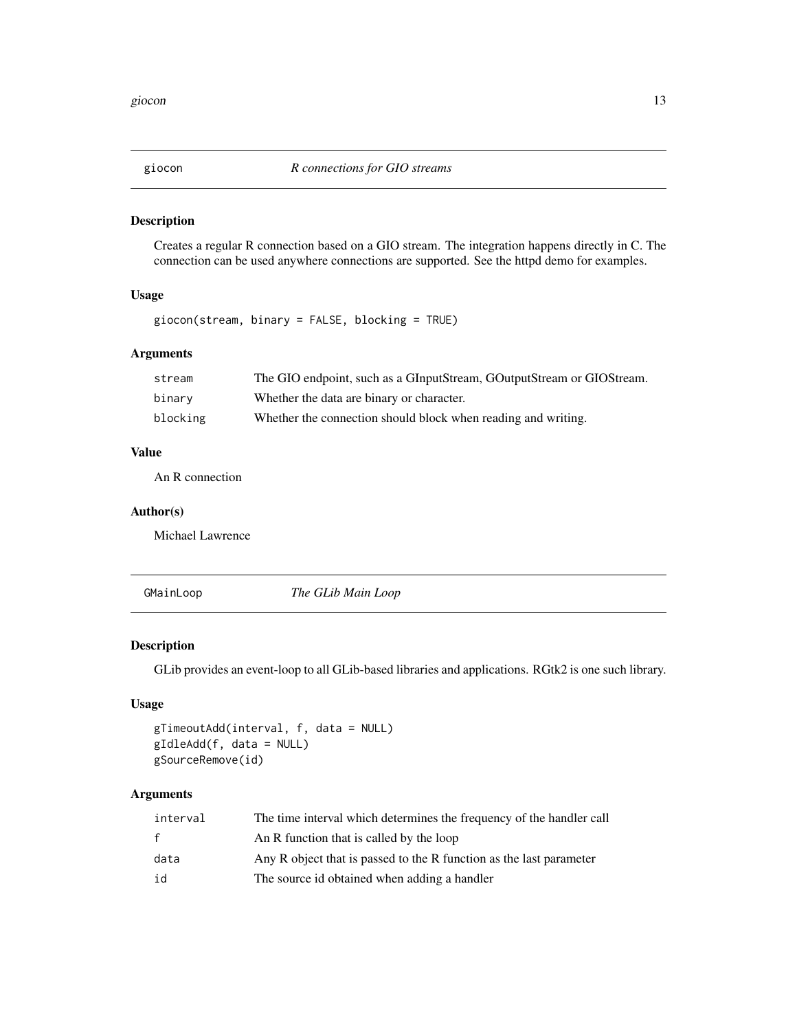<span id="page-12-0"></span>

# Description

Creates a regular R connection based on a GIO stream. The integration happens directly in C. The connection can be used anywhere connections are supported. See the httpd demo for examples.

# Usage

```
giocon(stream, binary = FALSE, blocking = TRUE)
```
# Arguments

| stream   | The GIO endpoint, such as a GInputStream, GOutputStream or GIOStream. |
|----------|-----------------------------------------------------------------------|
| binary   | Whether the data are binary or character.                             |
| blocking | Whether the connection should block when reading and writing.         |

# Value

An R connection

## Author(s)

Michael Lawrence

<span id="page-12-1"></span>GMainLoop *The GLib Main Loop*

# Description

GLib provides an event-loop to all GLib-based libraries and applications. RGtk2 is one such library.

# Usage

```
gTimeoutAdd(interval, f, data = NULL)
gIdleAdd(f, data = NULL)
gSourceRemove(id)
```
# Arguments

| interval     | The time interval which determines the frequency of the handler call |
|--------------|----------------------------------------------------------------------|
| $\mathbf{f}$ | An R function that is called by the loop                             |
| data         | Any R object that is passed to the R function as the last parameter  |
| id           | The source id obtained when adding a handler                         |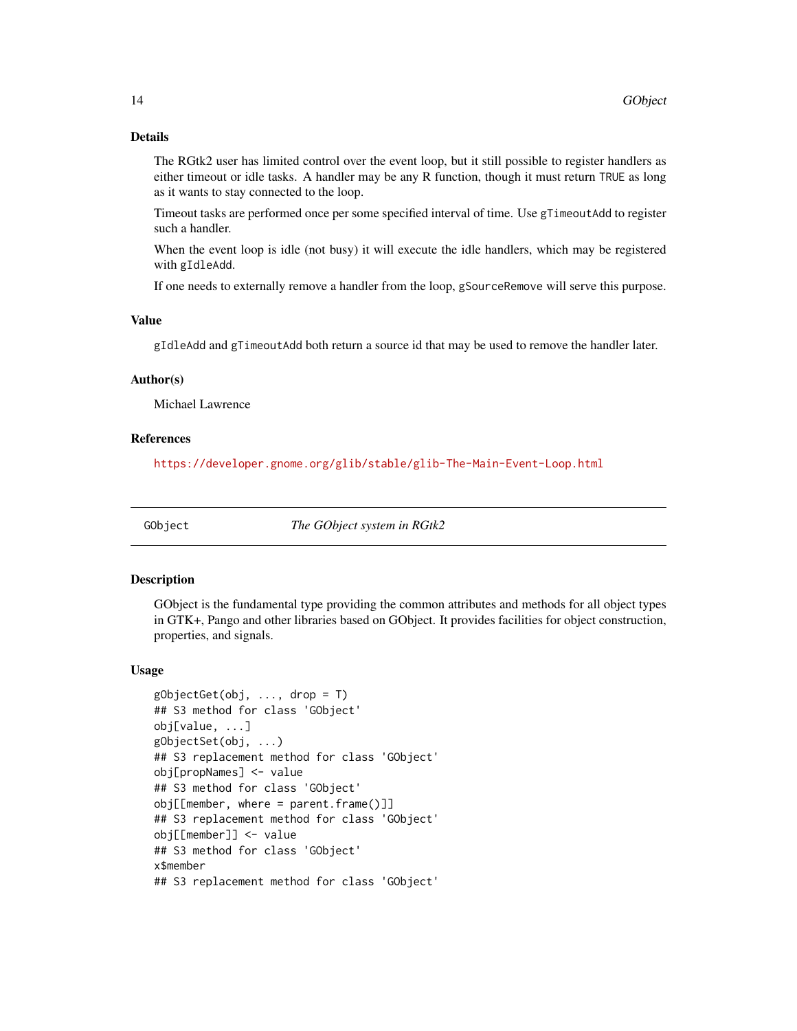# <span id="page-13-0"></span>Details

The RGtk2 user has limited control over the event loop, but it still possible to register handlers as either timeout or idle tasks. A handler may be any R function, though it must return TRUE as long as it wants to stay connected to the loop.

Timeout tasks are performed once per some specified interval of time. Use gTimeoutAdd to register such a handler.

When the event loop is idle (not busy) it will execute the idle handlers, which may be registered with gIdleAdd.

If one needs to externally remove a handler from the loop, gSourceRemove will serve this purpose.

# Value

gIdleAdd and gTimeoutAdd both return a source id that may be used to remove the handler later.

# Author(s)

Michael Lawrence

# References

<https://developer.gnome.org/glib/stable/glib-The-Main-Event-Loop.html>

<span id="page-13-1"></span>

GObject *The GObject system in RGtk2*

# <span id="page-13-2"></span>Description

GObject is the fundamental type providing the common attributes and methods for all object types in GTK+, Pango and other libraries based on GObject. It provides facilities for object construction, properties, and signals.

#### Usage

```
gObjectGet(obj, ..., drop = T)## S3 method for class 'GObject'
obj[value, ...]
gObjectSet(obj, ...)
## S3 replacement method for class 'GObject'
obj[propNames] <- value
## S3 method for class 'GObject'
obj[[member, where = parent, frame()]]]## S3 replacement method for class 'GObject'
obj[[member]] <- value
## S3 method for class 'GObject'
x$member
## S3 replacement method for class 'GObject'
```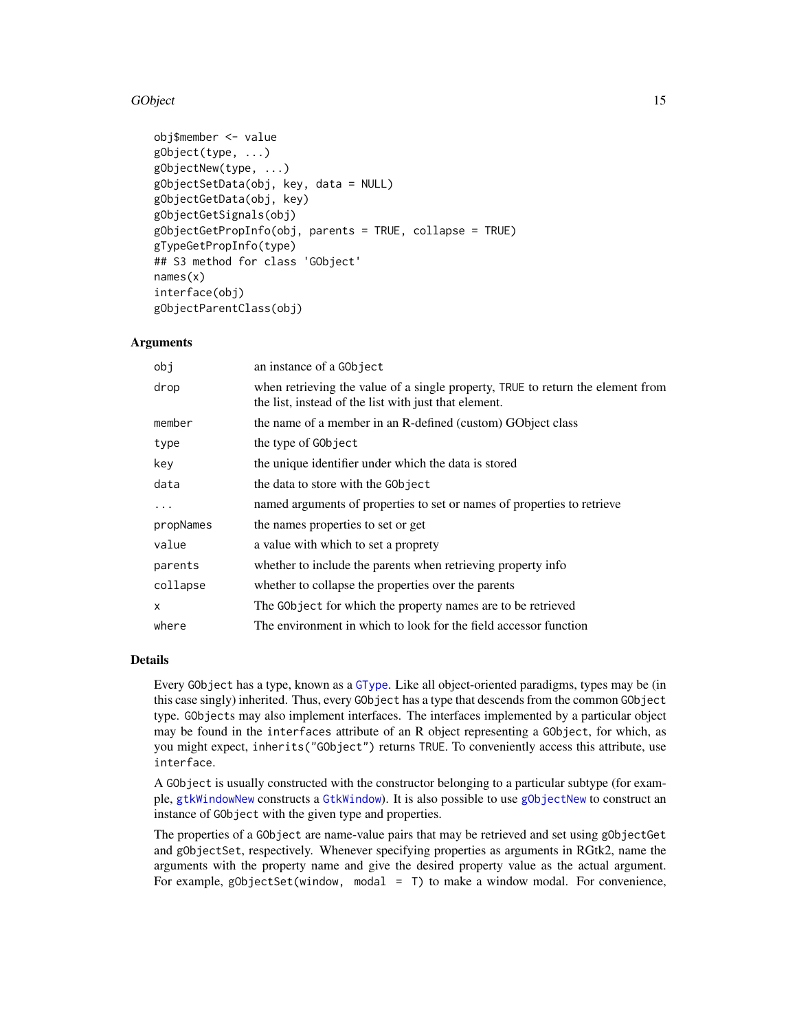# <span id="page-14-0"></span>GObject 25 and 25 and 26 and 26 and 26 and 26 and 26 and 26 and 26 and 26 and 26 and 26 and 26 and 26 and 26 and 26 and 26 and 26 and 26 and 26 and 26 and 26 and 26 and 26 and 26 and 26 and 26 and 26 and 26 and 26 and 26 a

```
obj$member <- value
gObject(type, ...)
gObjectNew(type, ...)
gObjectSetData(obj, key, data = NULL)
gObjectGetData(obj, key)
gObjectGetSignals(obj)
gObjectGetPropInfo(obj, parents = TRUE, collapse = TRUE)
gTypeGetPropInfo(type)
## S3 method for class 'GObject'
names(x)
interface(obj)
gObjectParentClass(obj)
```
# Arguments

| obj          | an instance of a GObject                                                                                                                 |
|--------------|------------------------------------------------------------------------------------------------------------------------------------------|
| drop         | when retrieving the value of a single property, TRUE to return the element from<br>the list, instead of the list with just that element. |
| member       | the name of a member in an R-defined (custom) GObject class                                                                              |
| type         | the type of GObject                                                                                                                      |
| key          | the unique identifier under which the data is stored                                                                                     |
| data         | the data to store with the GObject                                                                                                       |
| $\cdots$     | named arguments of properties to set or names of properties to retrieve                                                                  |
| propNames    | the names properties to set or get                                                                                                       |
| value        | a value with which to set a proprety                                                                                                     |
| parents      | whether to include the parents when retrieving property info                                                                             |
| collapse     | whether to collapse the properties over the parents                                                                                      |
| $\mathsf{x}$ | The GObject for which the property names are to be retrieved                                                                             |
| where        | The environment in which to look for the field accessor function                                                                         |

# Details

Every GObject has a type, known as a [GType](#page-24-1). Like all object-oriented paradigms, types may be (in this case singly) inherited. Thus, every GObject has a type that descends from the common GObject type. GObjects may also implement interfaces. The interfaces implemented by a particular object may be found in the interfaces attribute of an R object representing a GObject, for which, as you might expect, inherits("GObject") returns TRUE. To conveniently access this attribute, use interface.

A GObject is usually constructed with the constructor belonging to a particular subtype (for example, [gtkWindowNew](#page-0-0) constructs a [GtkWindow](#page-0-0)). It is also possible to use [gObjectNew](#page-13-2) to construct an instance of GObject with the given type and properties.

The properties of a GObject are name-value pairs that may be retrieved and set using gObjectGet and gObjectSet, respectively. Whenever specifying properties as arguments in RGtk2, name the arguments with the property name and give the desired property value as the actual argument. For example, gObjectSet(window, modal = T) to make a window modal. For convenience,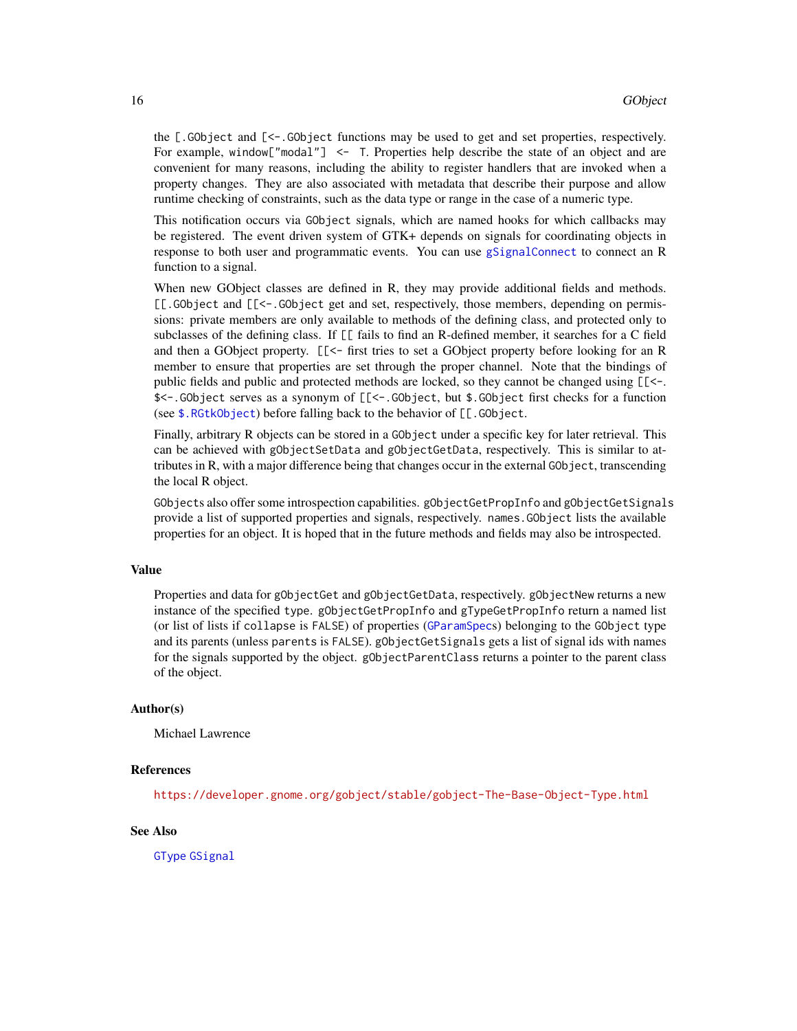<span id="page-15-0"></span>the [.GObject and [<-.GObject functions may be used to get and set properties, respectively. For example, window["modal"] <- T. Properties help describe the state of an object and are convenient for many reasons, including the ability to register handlers that are invoked when a property changes. They are also associated with metadata that describe their purpose and allow runtime checking of constraints, such as the data type or range in the case of a numeric type.

This notification occurs via GObject signals, which are named hooks for which callbacks may be registered. The event driven system of GTK+ depends on signals for coordinating objects in response to both user and programmatic events. You can use [gSignalConnect](#page-16-1) to connect an R function to a signal.

When new GObject classes are defined in R, they may provide additional fields and methods. [[.GObject and [[<-.GObject get and set, respectively, those members, depending on permissions: private members are only available to methods of the defining class, and protected only to subclasses of the defining class. If [[ fails to find an R-defined member, it searches for a C field and then a GObject property. [[<- first tries to set a GObject property before looking for an R member to ensure that properties are set through the proper channel. Note that the bindings of public fields and public and protected methods are locked, so they cannot be changed using [[<-. \$<-.GObject serves as a synonym of [[<-.GObject, but \$.GObject first checks for a function (see [\\$.RGtkObject](#page-28-1)) before falling back to the behavior of [[.GObject.

Finally, arbitrary R objects can be stored in a GObject under a specific key for later retrieval. This can be achieved with gObjectSetData and gObjectGetData, respectively. This is similar to attributes in R, with a major difference being that changes occur in the external GObject, transcending the local R object.

GObjects also offer some introspection capabilities. gObjectGetPropInfo and gObjectGetSignals provide a list of supported properties and signals, respectively. names.GObject lists the available properties for an object. It is hoped that in the future methods and fields may also be introspected.

#### Value

Properties and data for gObjectGet and gObjectGetData, respectively. gObjectNew returns a new instance of the specified type. gObjectGetPropInfo and gTypeGetPropInfo return a named list (or list of lists if collapse is FALSE) of properties ([GParamSpec](#page-0-0)s) belonging to the GObject type and its parents (unless parents is FALSE). gObjectGetSignals gets a list of signal ids with names for the signals supported by the object. gObjectParentClass returns a pointer to the parent class of the object.

# Author(s)

Michael Lawrence

# References

<https://developer.gnome.org/gobject/stable/gobject-The-Base-Object-Type.html>

# See Also

[GType](#page-24-1) [GSignal](#page-16-2)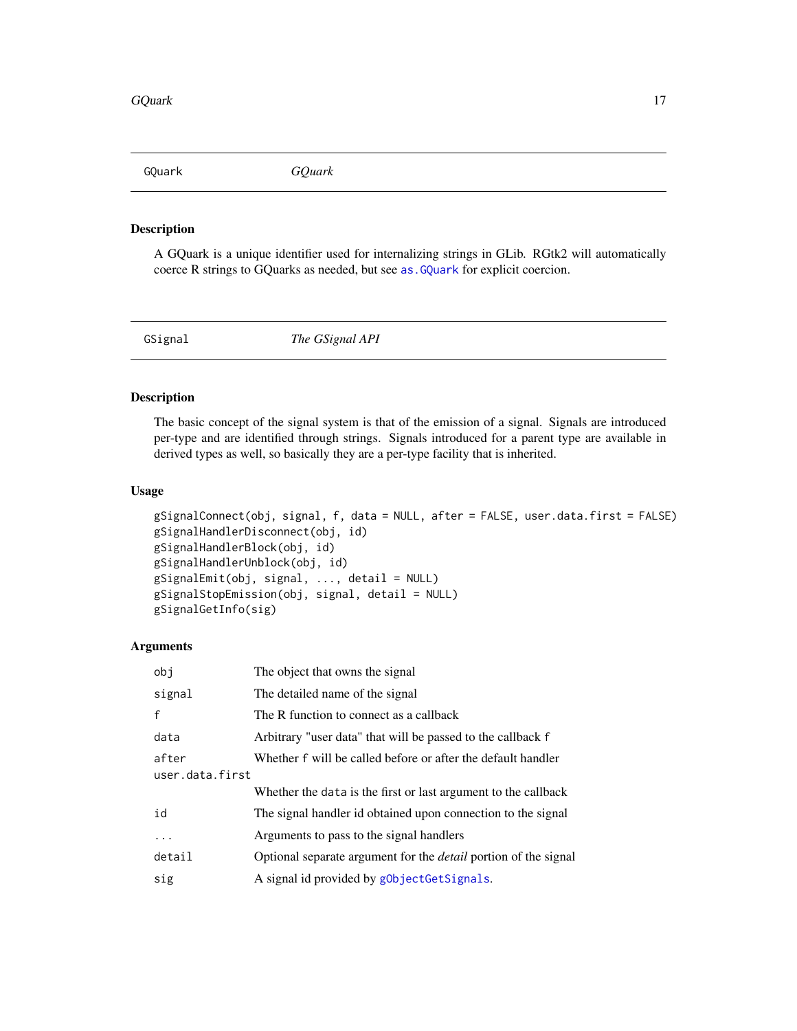<span id="page-16-0"></span>GQuark *GQuark*

# Description

A GQuark is a unique identifier used for internalizing strings in GLib. RGtk2 will automatically coerce R strings to GQuarks as needed, but see [as.GQuark](#page-0-0) for explicit coercion.

<span id="page-16-2"></span>GSignal *The GSignal API*

# <span id="page-16-1"></span>Description

The basic concept of the signal system is that of the emission of a signal. Signals are introduced per-type and are identified through strings. Signals introduced for a parent type are available in derived types as well, so basically they are a per-type facility that is inherited.

# Usage

```
gSignalConnect(obj, signal, f, data = NULL, after = FALSE, user.data.first = FALSE)
gSignalHandlerDisconnect(obj, id)
gSignalHandlerBlock(obj, id)
gSignalHandlerUnblock(obj, id)
gSignalEmit(obj, signal, ..., detail = NULL)
gSignalStopEmission(obj, signal, detail = NULL)
gSignalGetInfo(sig)
```
# Arguments

| obi             | The object that owns the signal                                        |
|-----------------|------------------------------------------------------------------------|
| signal          | The detailed name of the signal                                        |
| $\mathsf{f}$    | The R function to connect as a callback                                |
| data            | Arbitrary "user data" that will be passed to the callback f            |
| after           | Whether f will be called before or after the default handler           |
| user.data.first |                                                                        |
|                 | Whether the data is the first or last argument to the callback         |
| id              | The signal handler id obtained upon connection to the signal           |
| .               | Arguments to pass to the signal handlers                               |
| detail          | Optional separate argument for the <i>detail</i> portion of the signal |
| sig             | A signal id provided by gObjectGetSignals.                             |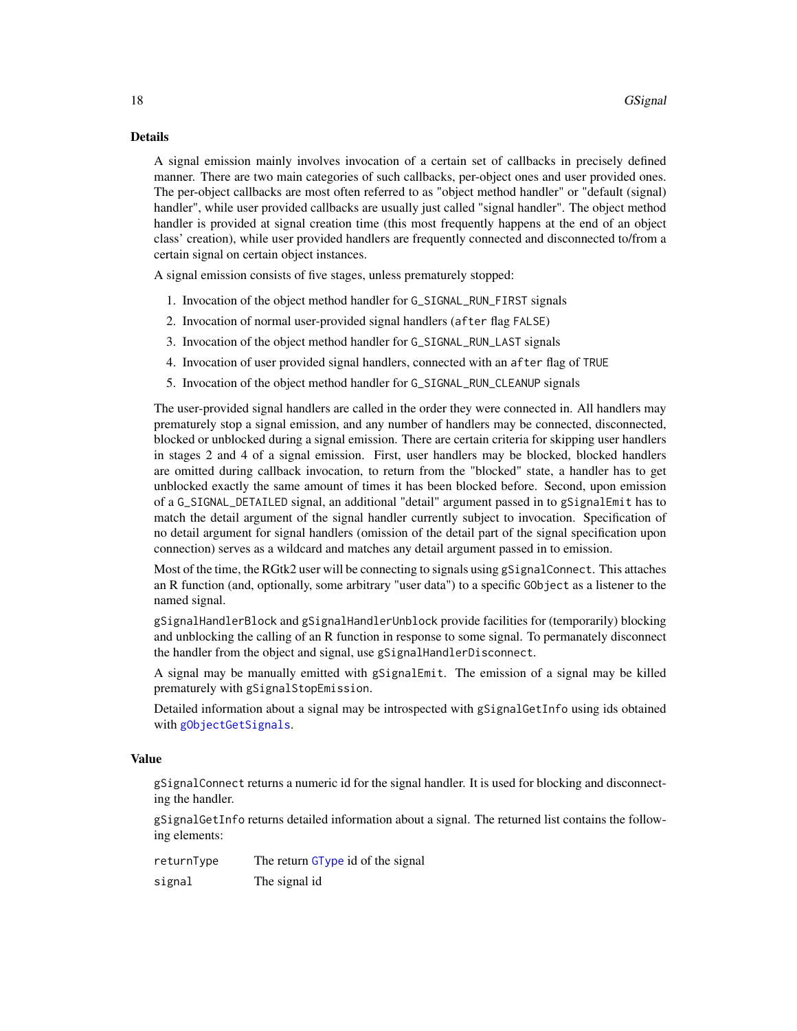# <span id="page-17-0"></span>Details

A signal emission mainly involves invocation of a certain set of callbacks in precisely defined manner. There are two main categories of such callbacks, per-object ones and user provided ones. The per-object callbacks are most often referred to as "object method handler" or "default (signal) handler", while user provided callbacks are usually just called "signal handler". The object method handler is provided at signal creation time (this most frequently happens at the end of an object class' creation), while user provided handlers are frequently connected and disconnected to/from a certain signal on certain object instances.

A signal emission consists of five stages, unless prematurely stopped:

- 1. Invocation of the object method handler for G\_SIGNAL\_RUN\_FIRST signals
- 2. Invocation of normal user-provided signal handlers (after flag FALSE)
- 3. Invocation of the object method handler for G\_SIGNAL\_RUN\_LAST signals
- 4. Invocation of user provided signal handlers, connected with an after flag of TRUE
- 5. Invocation of the object method handler for G\_SIGNAL\_RUN\_CLEANUP signals

The user-provided signal handlers are called in the order they were connected in. All handlers may prematurely stop a signal emission, and any number of handlers may be connected, disconnected, blocked or unblocked during a signal emission. There are certain criteria for skipping user handlers in stages 2 and 4 of a signal emission. First, user handlers may be blocked, blocked handlers are omitted during callback invocation, to return from the "blocked" state, a handler has to get unblocked exactly the same amount of times it has been blocked before. Second, upon emission of a G\_SIGNAL\_DETAILED signal, an additional "detail" argument passed in to gSignalEmit has to match the detail argument of the signal handler currently subject to invocation. Specification of no detail argument for signal handlers (omission of the detail part of the signal specification upon connection) serves as a wildcard and matches any detail argument passed in to emission.

Most of the time, the RGtk2 user will be connecting to signals using gSignalConnect. This attaches an R function (and, optionally, some arbitrary "user data") to a specific GObject as a listener to the named signal.

gSignalHandlerBlock and gSignalHandlerUnblock provide facilities for (temporarily) blocking and unblocking the calling of an R function in response to some signal. To permanately disconnect the handler from the object and signal, use gSignalHandlerDisconnect.

A signal may be manually emitted with gSignalEmit. The emission of a signal may be killed prematurely with gSignalStopEmission.

Detailed information about a signal may be introspected with gSignalGetInfo using ids obtained with [gObjectGetSignals](#page-13-2).

# Value

gSignalConnect returns a numeric id for the signal handler. It is used for blocking and disconnecting the handler.

gSignalGetInfo returns detailed information about a signal. The returned list contains the following elements:

| returnType | The return GType id of the signal |
|------------|-----------------------------------|
| signal     | The signal id                     |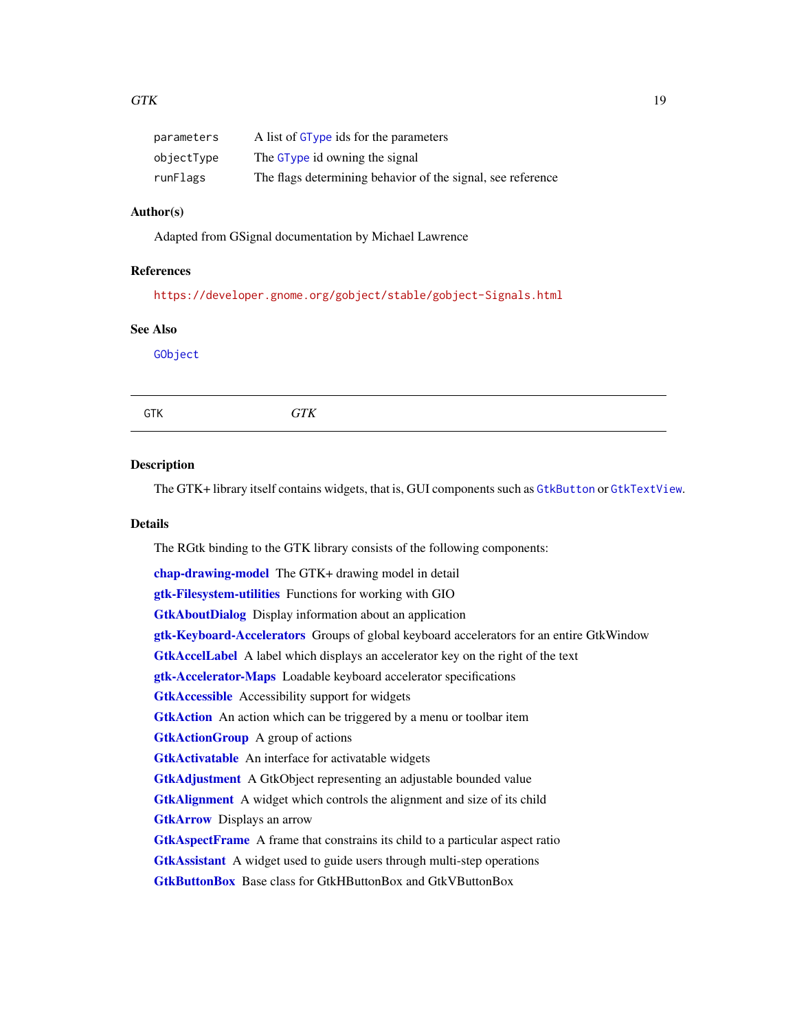<span id="page-18-0"></span>

| parameters | A list of GType ids for the parameters                      |
|------------|-------------------------------------------------------------|
| objectType | The GType id owning the signal                              |
| runFlags   | The flags determining behavior of the signal, see reference |

# Author(s)

Adapted from GSignal documentation by Michael Lawrence

# References

<https://developer.gnome.org/gobject/stable/gobject-Signals.html>

#### See Also

[GObject](#page-13-1)

<span id="page-18-1"></span>

# Description

The GTK+ library itself contains widgets, that is, GUI components such as [GtkButton](#page-0-0) or [GtkTextView](#page-0-0).

# Details

The RGtk binding to the GTK library consists of the following components:

[chap-drawing-model](#page-0-0) The GTK+ drawing model in detail [gtk-Filesystem-utilities](#page-0-0) Functions for working with GIO **[GtkAboutDialog](#page-0-0)** Display information about an application [gtk-Keyboard-Accelerators](#page-0-0) Groups of global keyboard accelerators for an entire GtkWindow **[GtkAccelLabel](#page-0-0)** A label which displays an accelerator key on the right of the text [gtk-Accelerator-Maps](#page-0-0) Loadable keyboard accelerator specifications [GtkAccessible](#page-0-0) Accessibility support for widgets **[GtkAction](#page-0-0)** An action which can be triggered by a menu or toolbar item **[GtkActionGroup](#page-0-0)** A group of actions [GtkActivatable](#page-0-0) An interface for activatable widgets [GtkAdjustment](#page-0-0) A GtkObject representing an adjustable bounded value [GtkAlignment](#page-0-0) A widget which controls the alignment and size of its child **[GtkArrow](#page-0-0)** Displays an arrow [GtkAspectFrame](#page-0-0) A frame that constrains its child to a particular aspect ratio **[GtkAssistant](#page-0-0)** A widget used to guide users through multi-step operations [GtkButtonBox](#page-0-0) Base class for GtkHButtonBox and GtkVButtonBox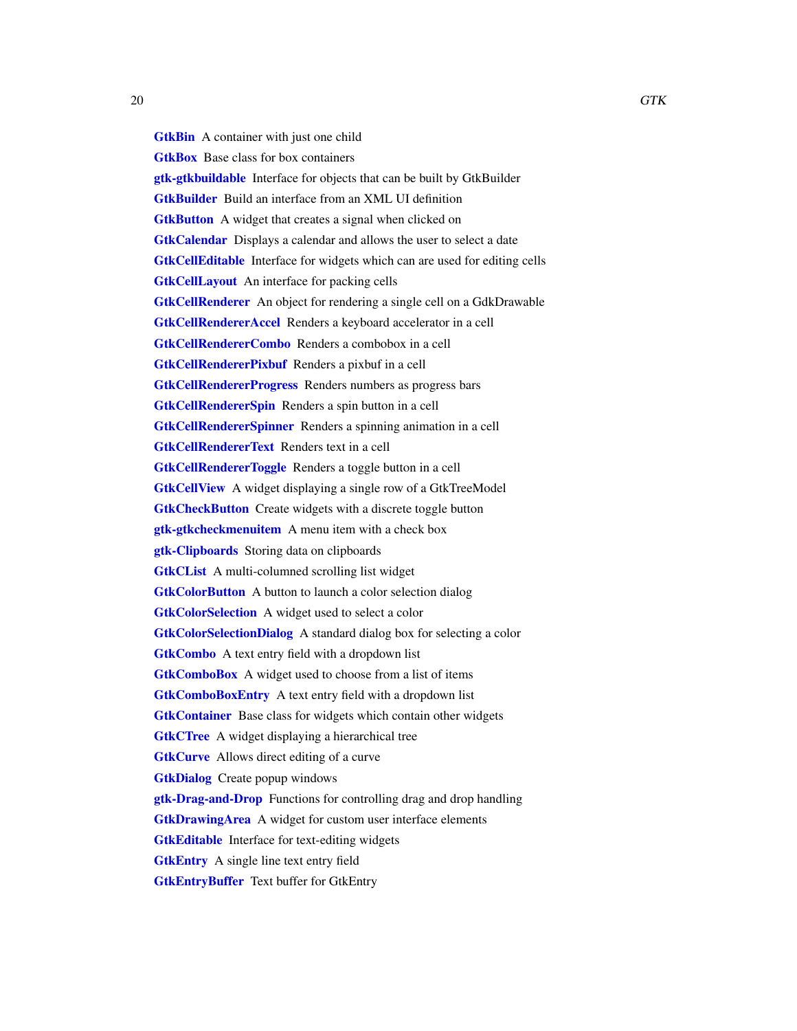<span id="page-19-0"></span>**[GtkBin](#page-0-0)** A container with just one child

**[GtkBox](#page-0-0)** Base class for box containers **[gtk-gtkbuildable](#page-0-0)** Interface for objects that can be built by GtkBuilder [GtkBuilder](#page-0-0) Build an interface from an XML UI definition **[GtkButton](#page-0-0)** A widget that creates a signal when clicked on **[GtkCalendar](#page-0-0)** Displays a calendar and allows the user to select a date [GtkCellEditable](#page-0-0) Interface for widgets which can are used for editing cells **[GtkCellLayout](#page-0-0)** An interface for packing cells [GtkCellRenderer](#page-0-0) An object for rendering a single cell on a GdkDrawable [GtkCellRendererAccel](#page-0-0) Renders a keyboard accelerator in a cell [GtkCellRendererCombo](#page-0-0) Renders a combobox in a cell [GtkCellRendererPixbuf](#page-0-0) Renders a pixbuf in a cell [GtkCellRendererProgress](#page-0-0) Renders numbers as progress bars [GtkCellRendererSpin](#page-0-0) Renders a spin button in a cell [GtkCellRendererSpinner](#page-0-0) Renders a spinning animation in a cell [GtkCellRendererText](#page-0-0) Renders text in a cell **[GtkCellRendererToggle](#page-0-0)** Renders a toggle button in a cell [GtkCellView](#page-0-0) A widget displaying a single row of a GtkTreeModel **[GtkCheckButton](#page-0-0)** Create widgets with a discrete toggle button [gtk-gtkcheckmenuitem](#page-0-0) A menu item with a check box [gtk-Clipboards](#page-0-0) Storing data on clipboards [GtkCList](#page-0-0) A multi-columned scrolling list widget **[GtkColorButton](#page-0-0)** A button to launch a color selection dialog **[GtkColorSelection](#page-0-0)** A widget used to select a color [GtkColorSelectionDialog](#page-0-0) A standard dialog box for selecting a color [GtkCombo](#page-0-0) A text entry field with a dropdown list [GtkComboBox](#page-0-0) A widget used to choose from a list of items [GtkComboBoxEntry](#page-0-0) A text entry field with a dropdown list [GtkContainer](#page-0-0) Base class for widgets which contain other widgets [GtkCTree](#page-0-0) A widget displaying a hierarchical tree **[GtkCurve](#page-0-0)** Allows direct editing of a curve **[GtkDialog](#page-0-0)** Create popup windows **[gtk-Drag-and-Drop](#page-0-0)** Functions for controlling drag and drop handling **[GtkDrawingArea](#page-0-0)** A widget for custom user interface elements [GtkEditable](#page-0-0) Interface for text-editing widgets [GtkEntry](#page-0-0) A single line text entry field

[GtkEntryBuffer](#page-0-0) Text buffer for GtkEntry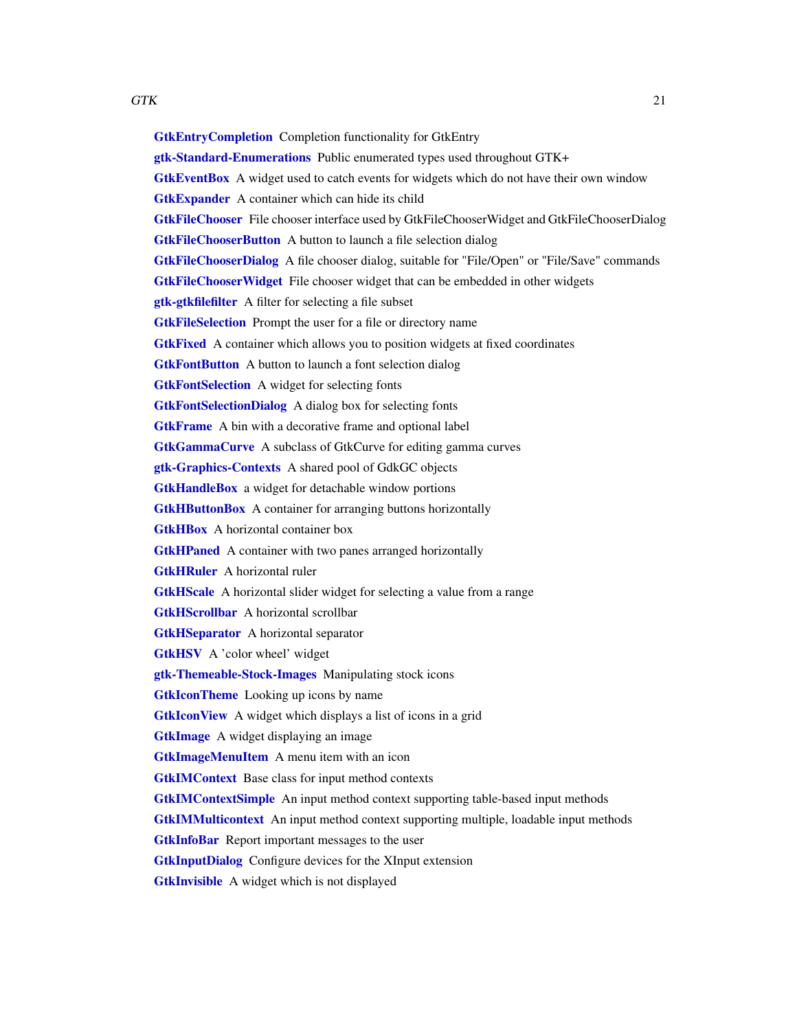<span id="page-20-0"></span>[GtkEntryCompletion](#page-0-0) Completion functionality for GtkEntry [gtk-Standard-Enumerations](#page-0-0) Public enumerated types used throughout GTK+ [GtkEventBox](#page-0-0) A widget used to catch events for widgets which do not have their own window **[GtkExpander](#page-0-0)** A container which can hide its child [GtkFileChooser](#page-0-0) File chooser interface used by GtkFileChooserWidget and GtkFileChooserDialog **[GtkFileChooserButton](#page-0-0)** A button to launch a file selection dialog [GtkFileChooserDialog](#page-0-0) A file chooser dialog, suitable for "File/Open" or "File/Save" commands **[GtkFileChooserWidget](#page-0-0)** File chooser widget that can be embedded in other widgets **[gtk-gtkfilefilter](#page-0-0)** A filter for selecting a file subset **[GtkFileSelection](#page-0-0)** Prompt the user for a file or directory name **[GtkFixed](#page-0-0)** A container which allows you to position widgets at fixed coordinates **[GtkFontButton](#page-0-0)** A button to launch a font selection dialog [GtkFontSelection](#page-0-0) A widget for selecting fonts [GtkFontSelectionDialog](#page-0-0) A dialog box for selecting fonts [GtkFrame](#page-0-0) A bin with a decorative frame and optional label [GtkGammaCurve](#page-0-0) A subclass of GtkCurve for editing gamma curves **[gtk-Graphics-Contexts](#page-0-0)** A shared pool of GdkGC objects **[GtkHandleBox](#page-0-0)** a widget for detachable window portions **[GtkHButtonBox](#page-0-0)** A container for arranging buttons horizontally **[GtkHBox](#page-0-0)** A horizontal container box **[GtkHPaned](#page-0-0)** A container with two panes arranged horizontally **[GtkHRuler](#page-0-0)** A horizontal ruler [GtkHScale](#page-0-0) A horizontal slider widget for selecting a value from a range [GtkHScrollbar](#page-0-0) A horizontal scrollbar [GtkHSeparator](#page-0-0) A horizontal separator [GtkHSV](#page-0-0) A 'color wheel' widget [gtk-Themeable-Stock-Images](#page-0-0) Manipulating stock icons **[GtkIconTheme](#page-0-0)** Looking up icons by name [GtkIconView](#page-0-0) A widget which displays a list of icons in a grid **[GtkImage](#page-0-0)** A widget displaying an image **[GtkImageMenuItem](#page-0-0)** A menu item with an icon [GtkIMContext](#page-0-0) Base class for input method contexts [GtkIMContextSimple](#page-0-0) An input method context supporting table-based input methods [GtkIMMulticontext](#page-0-0) An input method context supporting multiple, loadable input methods **[GtkInfoBar](#page-0-0)** Report important messages to the user [GtkInputDialog](#page-0-0) Configure devices for the XInput extension **[GtkInvisible](#page-0-0)** A widget which is not displayed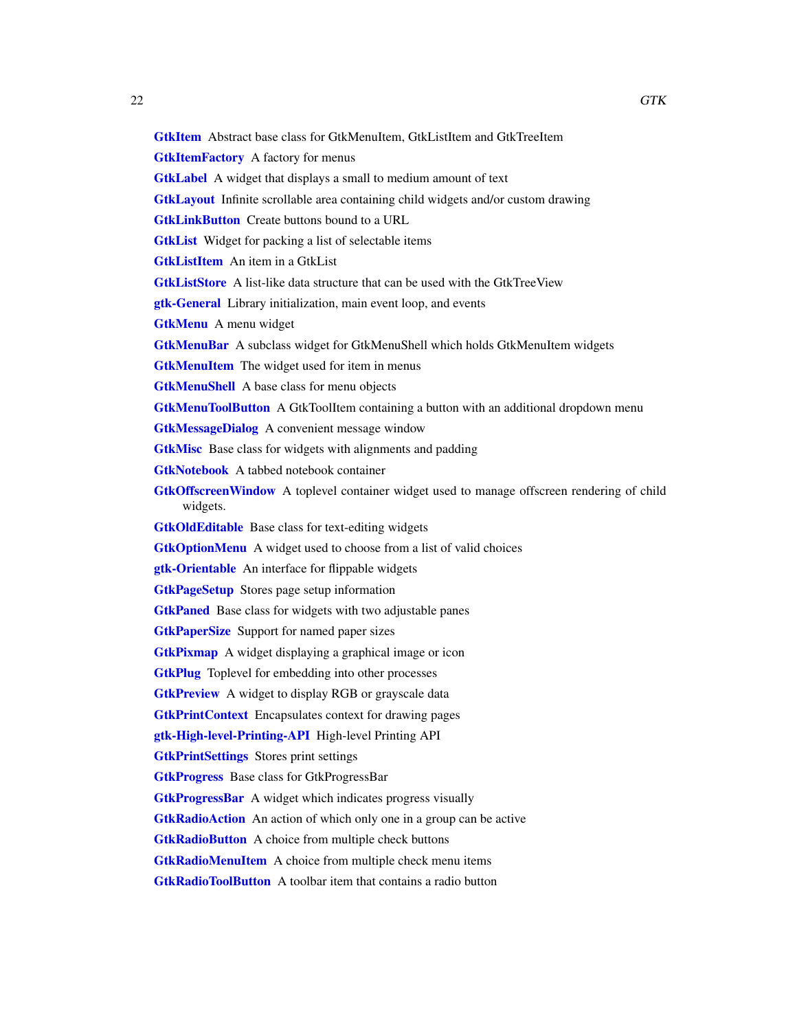<span id="page-21-0"></span>[GtkItem](#page-0-0) Abstract base class for GtkMenuItem, GtkListItem and GtkTreeItem

**[GtkItemFactory](#page-0-0)** A factory for menus

[GtkLabel](#page-0-0) A widget that displays a small to medium amount of text

[GtkLayout](#page-0-0) Infinite scrollable area containing child widgets and/or custom drawing

**[GtkLinkButton](#page-0-0)** Create buttons bound to a URL

[GtkList](#page-0-0) Widget for packing a list of selectable items

**[GtkListItem](#page-0-0)** An item in a GtkList

[GtkListStore](#page-0-0) A list-like data structure that can be used with the GtkTreeView

[gtk-General](#page-0-0) Library initialization, main event loop, and events

[GtkMenu](#page-0-0) A menu widget

**[GtkMenuBar](#page-0-0)** A subclass widget for GtkMenuShell which holds GtkMenuItem widgets

[GtkMenuItem](#page-0-0) The widget used for item in menus

**[GtkMenuShell](#page-0-0)** A base class for menu objects

**[GtkMenuToolButton](#page-0-0)** A GtkToolItem containing a button with an additional dropdown menu

[GtkMessageDialog](#page-0-0) A convenient message window

[GtkMisc](#page-0-0) Base class for widgets with alignments and padding

[GtkNotebook](#page-0-0) A tabbed notebook container

**[GtkOffscreenWindow](#page-0-0)** A toplevel container widget used to manage offscreen rendering of child widgets.

**[GtkOldEditable](#page-0-0)** Base class for text-editing widgets

**[GtkOptionMenu](#page-0-0)** A widget used to choose from a list of valid choices

[gtk-Orientable](#page-0-0) An interface for flippable widgets

[GtkPageSetup](#page-0-0) Stores page setup information

**[GtkPaned](#page-0-0)** Base class for widgets with two adjustable panes

**[GtkPaperSize](#page-0-0)** Support for named paper sizes

**[GtkPixmap](#page-0-0)** A widget displaying a graphical image or icon

**[GtkPlug](#page-0-0)** Toplevel for embedding into other processes

**[GtkPreview](#page-0-0)** A widget to display RGB or grayscale data

[GtkPrintContext](#page-0-0) Encapsulates context for drawing pages

[gtk-High-level-Printing-API](#page-0-0) High-level Printing API

[GtkPrintSettings](#page-0-0) Stores print settings

[GtkProgress](#page-0-0) Base class for GtkProgressBar

**[GtkProgressBar](#page-0-0)** A widget which indicates progress visually

**[GtkRadioAction](#page-0-0)** An action of which only one in a group can be active

**[GtkRadioButton](#page-0-0)** A choice from multiple check buttons

[GtkRadioMenuItem](#page-0-0) A choice from multiple check menu items

[GtkRadioToolButton](#page-0-0) A toolbar item that contains a radio button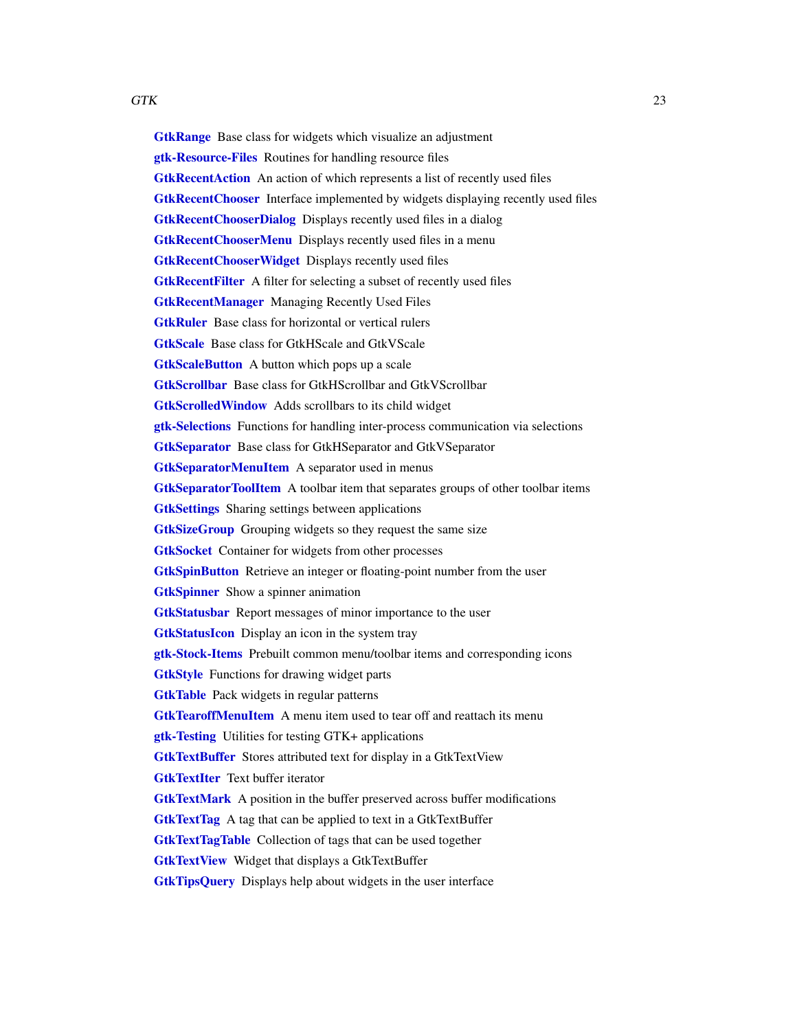<span id="page-22-0"></span>**[GtkRange](#page-0-0)** Base class for widgets which visualize an adjustment [gtk-Resource-Files](#page-0-0) Routines for handling resource files **[GtkRecentAction](#page-0-0)** An action of which represents a list of recently used files [GtkRecentChooser](#page-0-0) Interface implemented by widgets displaying recently used files [GtkRecentChooserDialog](#page-0-0) Displays recently used files in a dialog **[GtkRecentChooserMenu](#page-0-0)** Displays recently used files in a menu **[GtkRecentChooserWidget](#page-0-0)** Displays recently used files [GtkRecentFilter](#page-0-0) A filter for selecting a subset of recently used files [GtkRecentManager](#page-0-0) Managing Recently Used Files **[GtkRuler](#page-0-0)** Base class for horizontal or vertical rulers [GtkScale](#page-0-0) Base class for GtkHScale and GtkVScale **[GtkScaleButton](#page-0-0)** A button which pops up a scale [GtkScrollbar](#page-0-0) Base class for GtkHScrollbar and GtkVScrollbar [GtkScrolledWindow](#page-0-0) Adds scrollbars to its child widget [gtk-Selections](#page-0-0) Functions for handling inter-process communication via selections [GtkSeparator](#page-0-0) Base class for GtkHSeparator and GtkVSeparator [GtkSeparatorMenuItem](#page-0-0) A separator used in menus [GtkSeparatorToolItem](#page-0-0) A toolbar item that separates groups of other toolbar items [GtkSettings](#page-0-0) Sharing settings between applications [GtkSizeGroup](#page-0-0) Grouping widgets so they request the same size **[GtkSocket](#page-0-0)** Container for widgets from other processes **[GtkSpinButton](#page-0-0)** Retrieve an integer or floating-point number from the user **[GtkSpinner](#page-0-0)** Show a spinner animation [GtkStatusbar](#page-0-0) Report messages of minor importance to the user [GtkStatusIcon](#page-0-0) Display an icon in the system tray [gtk-Stock-Items](#page-0-0) Prebuilt common menu/toolbar items and corresponding icons **[GtkStyle](#page-0-0)** Functions for drawing widget parts **[GtkTable](#page-0-0)** Pack widgets in regular patterns [GtkTearoffMenuItem](#page-0-0) A menu item used to tear off and reattach its menu [gtk-Testing](#page-0-0) Utilities for testing GTK+ applications [GtkTextBuffer](#page-0-0) Stores attributed text for display in a GtkTextView **[GtkTextIter](#page-0-0)** Text buffer iterator [GtkTextMark](#page-0-0) A position in the buffer preserved across buffer modifications [GtkTextTag](#page-0-0) A tag that can be applied to text in a GtkTextBuffer [GtkTextTagTable](#page-0-0) Collection of tags that can be used together **[GtkTextView](#page-0-0)** Widget that displays a GtkTextBuffer **[GtkTipsQuery](#page-0-0)** Displays help about widgets in the user interface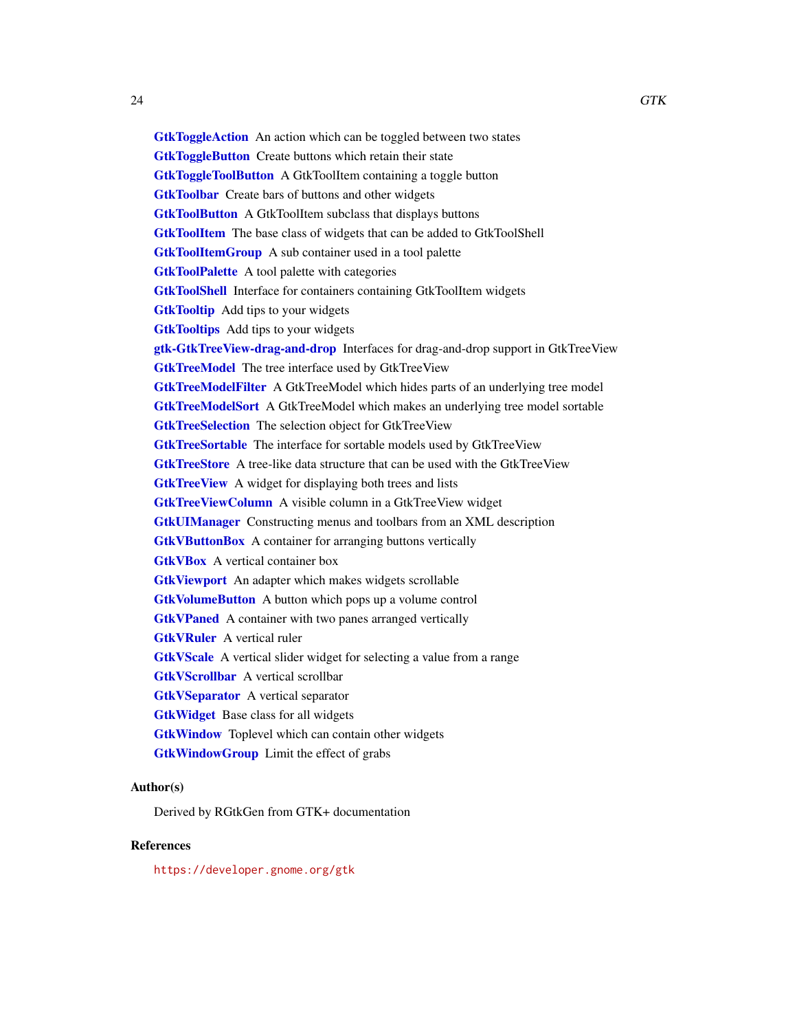<span id="page-23-0"></span>**[GtkToggleAction](#page-0-0)** An action which can be toggled between two states **[GtkToggleButton](#page-0-0)** Create buttons which retain their state **[GtkToggleToolButton](#page-0-0)** A GtkToolItem containing a toggle button [GtkToolbar](#page-0-0) Create bars of buttons and other widgets [GtkToolButton](#page-0-0) A GtkToolItem subclass that displays buttons **[GtkToolItem](#page-0-0)** The base class of widgets that can be added to GtkToolShell **[GtkToolItemGroup](#page-0-0)** A sub container used in a tool palette **[GtkToolPalette](#page-0-0)** A tool palette with categories **[GtkToolShell](#page-0-0)** Interface for containers containing GtkToolItem widgets **[GtkTooltip](#page-0-0)** Add tips to your widgets **[GtkTooltips](#page-0-0)** Add tips to your widgets [gtk-GtkTreeView-drag-and-drop](#page-0-0) Interfaces for drag-and-drop support in GtkTreeView **[GtkTreeModel](#page-0-0)** The tree interface used by GtkTreeView [GtkTreeModelFilter](#page-0-0) A GtkTreeModel which hides parts of an underlying tree model [GtkTreeModelSort](#page-0-0) A GtkTreeModel which makes an underlying tree model sortable [GtkTreeSelection](#page-0-0) The selection object for GtkTreeView [GtkTreeSortable](#page-0-0) The interface for sortable models used by GtkTreeView [GtkTreeStore](#page-0-0) A tree-like data structure that can be used with the GtkTreeView **[GtkTreeView](#page-0-0)** A widget for displaying both trees and lists **[GtkTreeViewColumn](#page-0-0)** A visible column in a GtkTreeView widget [GtkUIManager](#page-0-0) Constructing menus and toolbars from an XML description **[GtkVButtonBox](#page-0-0)** A container for arranging buttons vertically **[GtkVBox](#page-0-0)** A vertical container box [GtkViewport](#page-0-0) An adapter which makes widgets scrollable [GtkVolumeButton](#page-0-0) A button which pops up a volume control **[GtkVPaned](#page-0-0)** A container with two panes arranged vertically **[GtkVRuler](#page-0-0)** A vertical ruler [GtkVScale](#page-0-0) A vertical slider widget for selecting a value from a range [GtkVScrollbar](#page-0-0) A vertical scrollbar **[GtkVSeparator](#page-0-0)** A vertical separator **[GtkWidget](#page-0-0)** Base class for all widgets **[GtkWindow](#page-0-0)** Toplevel which can contain other widgets [GtkWindowGroup](#page-0-0) Limit the effect of grabs

# Author(s)

Derived by RGtkGen from GTK+ documentation

# References

<https://developer.gnome.org/gtk>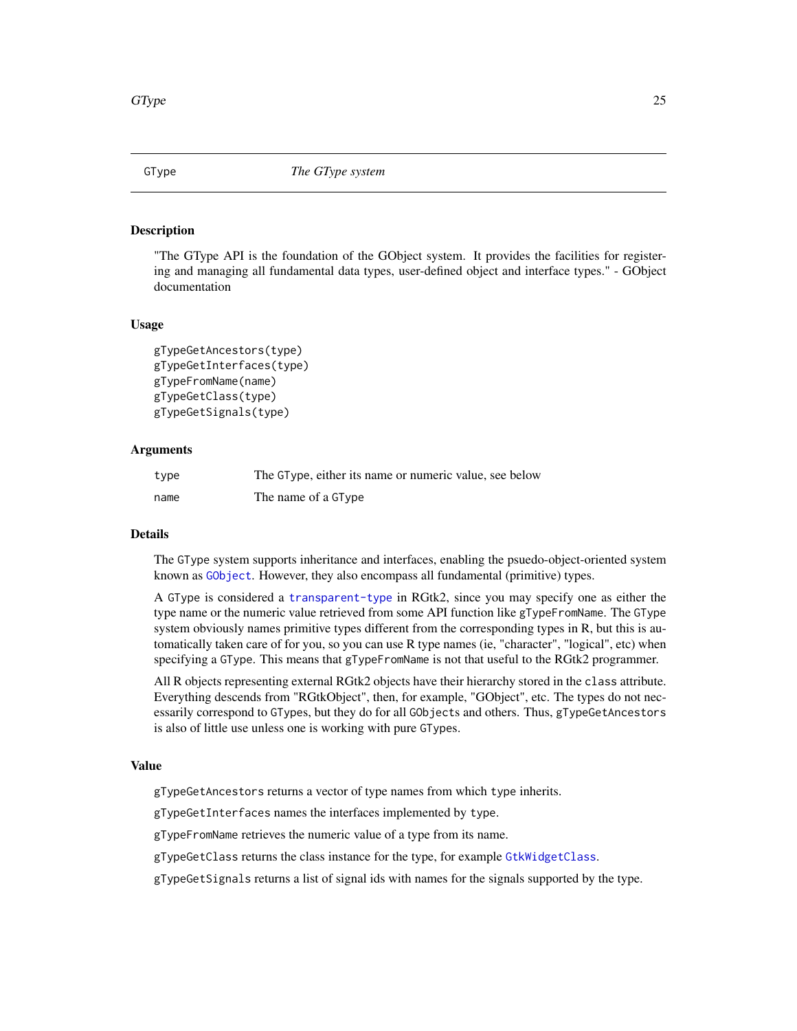<span id="page-24-1"></span><span id="page-24-0"></span>

#### Description

"The GType API is the foundation of the GObject system. It provides the facilities for registering and managing all fundamental data types, user-defined object and interface types." - GObject documentation

#### Usage

```
gTypeGetAncestors(type)
gTypeGetInterfaces(type)
gTypeFromName(name)
gTypeGetClass(type)
gTypeGetSignals(type)
```
# Arguments

| type | The GType, either its name or numeric value, see below |
|------|--------------------------------------------------------|
| name | The name of a GType                                    |

#### Details

The GType system supports inheritance and interfaces, enabling the psuedo-object-oriented system known as [GObject](#page-13-1). However, they also encompass all fundamental (primitive) types.

A GType is considered a [transparent-type](#page-29-1) in RGtk2, since you may specify one as either the type name or the numeric value retrieved from some API function like gTypeFromName. The GType system obviously names primitive types different from the corresponding types in R, but this is automatically taken care of for you, so you can use R type names (ie, "character", "logical", etc) when specifying a GType. This means that gTypeFromName is not that useful to the RGtk2 programmer.

All R objects representing external RGtk2 objects have their hierarchy stored in the class attribute. Everything descends from "RGtkObject", then, for example, "GObject", etc. The types do not necessarily correspond to GTypes, but they do for all GObjects and others. Thus, gTypeGetAncestors is also of little use unless one is working with pure GTypes.

#### Value

gTypeGetAncestors returns a vector of type names from which type inherits.

gTypeGetInterfaces names the interfaces implemented by type.

gTypeFromName retrieves the numeric value of a type from its name.

gTypeGetClass returns the class instance for the type, for example [GtkWidgetClass](#page-0-0).

gTypeGetSignals returns a list of signal ids with names for the signals supported by the type.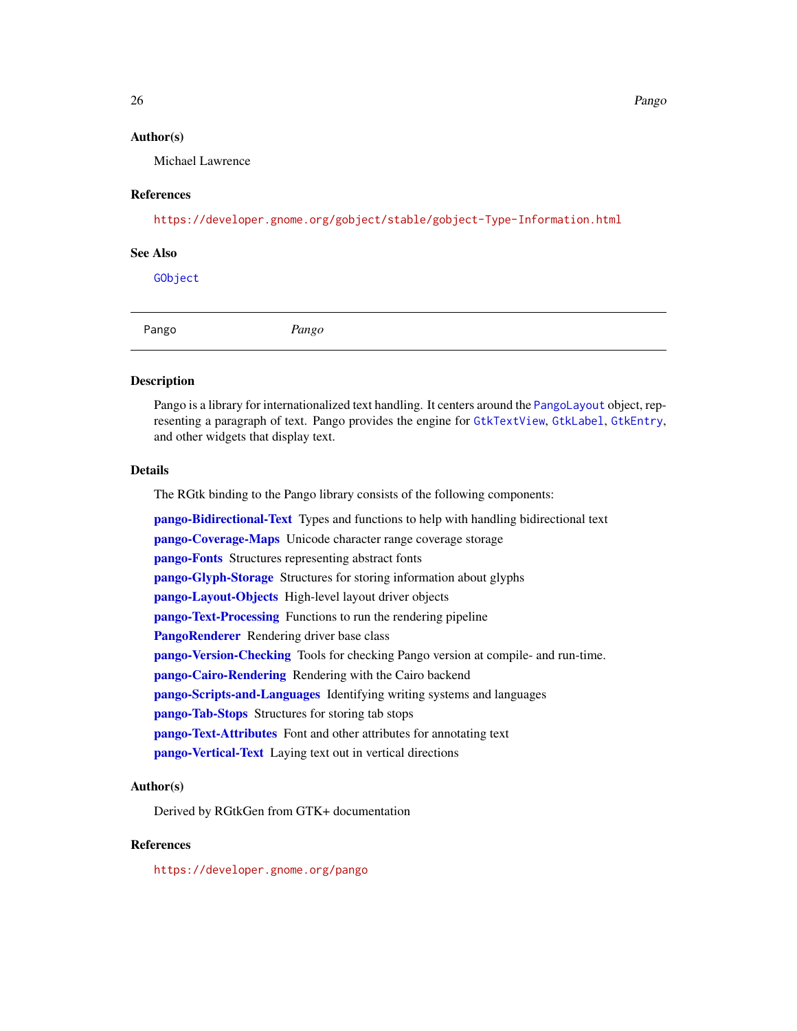26 **Pango** 

# Author(s)

Michael Lawrence

# References

<https://developer.gnome.org/gobject/stable/gobject-Type-Information.html>

## See Also

[GObject](#page-13-1)

<span id="page-25-1"></span>

#### Description

Pango is a library for internationalized text handling. It centers around the [PangoLayout](#page-0-0) object, representing a paragraph of text. Pango provides the engine for [GtkTextView](#page-0-0), [GtkLabel](#page-0-0), [GtkEntry](#page-0-0), and other widgets that display text.

# Details

The RGtk binding to the Pango library consists of the following components:

[pango-Bidirectional-Text](#page-0-0) Types and functions to help with handling bidirectional text [pango-Coverage-Maps](#page-0-0) Unicode character range coverage storage [pango-Fonts](#page-0-0) Structures representing abstract fonts [pango-Glyph-Storage](#page-0-0) Structures for storing information about glyphs [pango-Layout-Objects](#page-0-0) High-level layout driver objects [pango-Text-Processing](#page-0-0) Functions to run the rendering pipeline [PangoRenderer](#page-0-0) Rendering driver base class [pango-Version-Checking](#page-0-0) Tools for checking Pango version at compile- and run-time. [pango-Cairo-Rendering](#page-0-0) Rendering with the Cairo backend [pango-Scripts-and-Languages](#page-0-0) Identifying writing systems and languages [pango-Tab-Stops](#page-0-0) Structures for storing tab stops [pango-Text-Attributes](#page-0-0) Font and other attributes for annotating text [pango-Vertical-Text](#page-0-0) Laying text out in vertical directions

# Author(s)

Derived by RGtkGen from GTK+ documentation

# References

<https://developer.gnome.org/pango>

<span id="page-25-0"></span>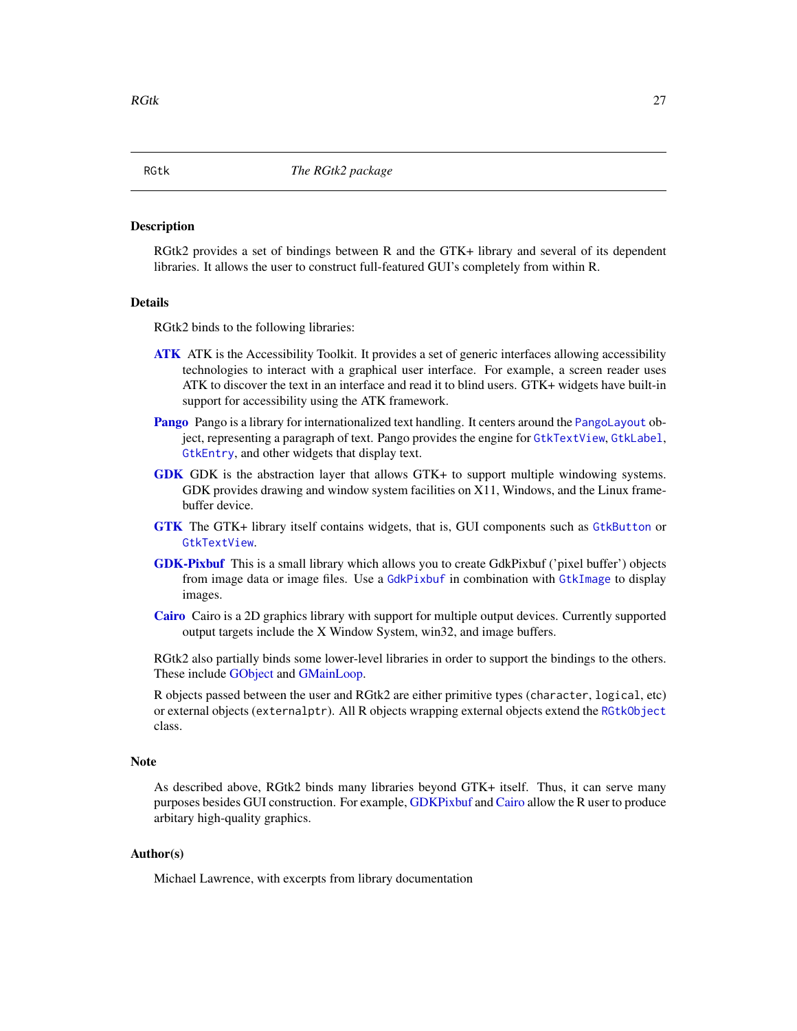#### Description

RGtk2 provides a set of bindings between R and the GTK+ library and several of its dependent libraries. It allows the user to construct full-featured GUI's completely from within R.

#### Details

RGtk2 binds to the following libraries:

- **[ATK](#page-2-1)** ATK is the Accessibility Toolkit. It provides a set of generic interfaces allowing accessibility technologies to interact with a graphical user interface. For example, a screen reader uses ATK to discover the text in an interface and read it to blind users. GTK+ widgets have built-in support for accessibility using the ATK framework.
- [Pango](#page-25-1) Pango is a library for internationalized text handling. It centers around the [PangoLayout](#page-0-0) object, representing a paragraph of text. Pango provides the engine for [GtkTextView](#page-0-0), [GtkLabel](#page-0-0), [GtkEntry](#page-0-0), and other widgets that display text.
- [GDK](#page-8-1) GDK is the abstraction layer that allows GTK+ to support multiple windowing systems. GDK provides drawing and window system facilities on X11, Windows, and the Linux framebuffer device.
- [GTK](#page-18-1) The GTK+ library itself contains widgets, that is, GUI components such as [GtkButton](#page-0-0) or [GtkTextView](#page-0-0).
- [GDK-Pixbuf](#page-9-1) This is a small library which allows you to create GdkPixbuf ('pixel buffer') objects from image data or image files. Use a [GdkPixbuf](#page-0-0) in combination with [GtkImage](#page-0-0) to display images.
- [Cairo](#page-0-0) Cairo is a 2D graphics library with support for multiple output devices. Currently supported output targets include the X Window System, win32, and image buffers.

RGtk2 also partially binds some lower-level libraries in order to support the bindings to the others. These include [GObject](#page-13-1) and [GMainLoop.](#page-12-1)

R objects passed between the user and RGtk2 are either primitive types (character, logical, etc) or external objects (externalptr). All R objects wrapping external objects extend the [RGtkObject](#page-28-2) class.

#### Note

As described above, RGtk2 binds many libraries beyond GTK+ itself. Thus, it can serve many purposes besides GUI construction. For example, [GDKPixbuf](#page-0-0) and [Cairo](#page-0-0) allow the R user to produce arbitary high-quality graphics.

# Author(s)

Michael Lawrence, with excerpts from library documentation

<span id="page-26-1"></span><span id="page-26-0"></span>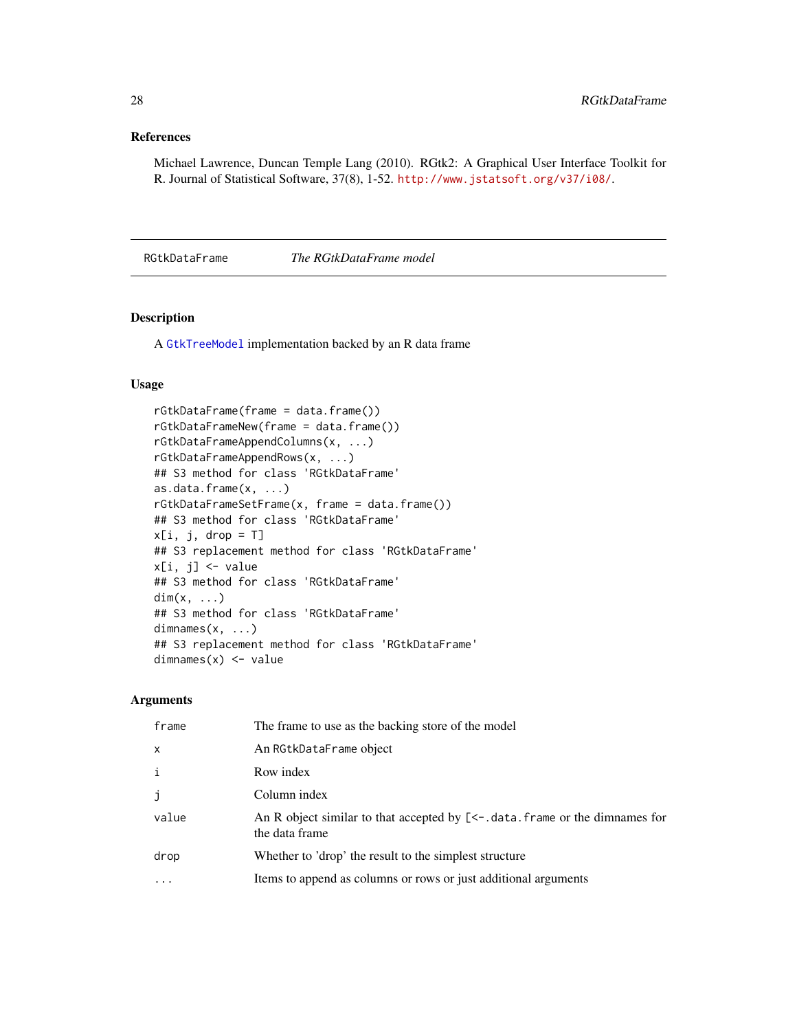# <span id="page-27-0"></span>References

Michael Lawrence, Duncan Temple Lang (2010). RGtk2: A Graphical User Interface Toolkit for R. Journal of Statistical Software, 37(8), 1-52. <http://www.jstatsoft.org/v37/i08/>.

RGtkDataFrame *The RGtkDataFrame model*

# Description

A [GtkTreeModel](#page-0-0) implementation backed by an R data frame

# Usage

```
rGtkDataFrame(frame = data.frame())
rGtkDataFrameNew(frame = data.frame())
rGtkDataFrameAppendColumns(x, ...)
rGtkDataFrameAppendRows(x, ...)
## S3 method for class 'RGtkDataFrame'
as.data.frame(x, ...)
rGtkDataFrameSetFrame(x, frame = data.frame())
## S3 method for class 'RGtkDataFrame'
x[i, j, drop = T]## S3 replacement method for class 'RGtkDataFrame'
x[i, j] <- value
## S3 method for class 'RGtkDataFrame'
dim(x, \ldots)## S3 method for class 'RGtkDataFrame'
dimnames(x, \ldots)## S3 replacement method for class 'RGtkDataFrame'
dimnames(x) <- value
```
# Arguments

| frame        | The frame to use as the backing store of the model                                                   |
|--------------|------------------------------------------------------------------------------------------------------|
| $\times$     | An RGtkDataFrame object                                                                              |
| $\mathbf{i}$ | Row index                                                                                            |
| j            | Column index                                                                                         |
| value        | An R object similar to that accepted by $\lceil$ <-.data.frame or the dimnames for<br>the data frame |
| drop         | Whether to 'drop' the result to the simplest structure                                               |
|              | Items to append as columns or rows or just additional arguments                                      |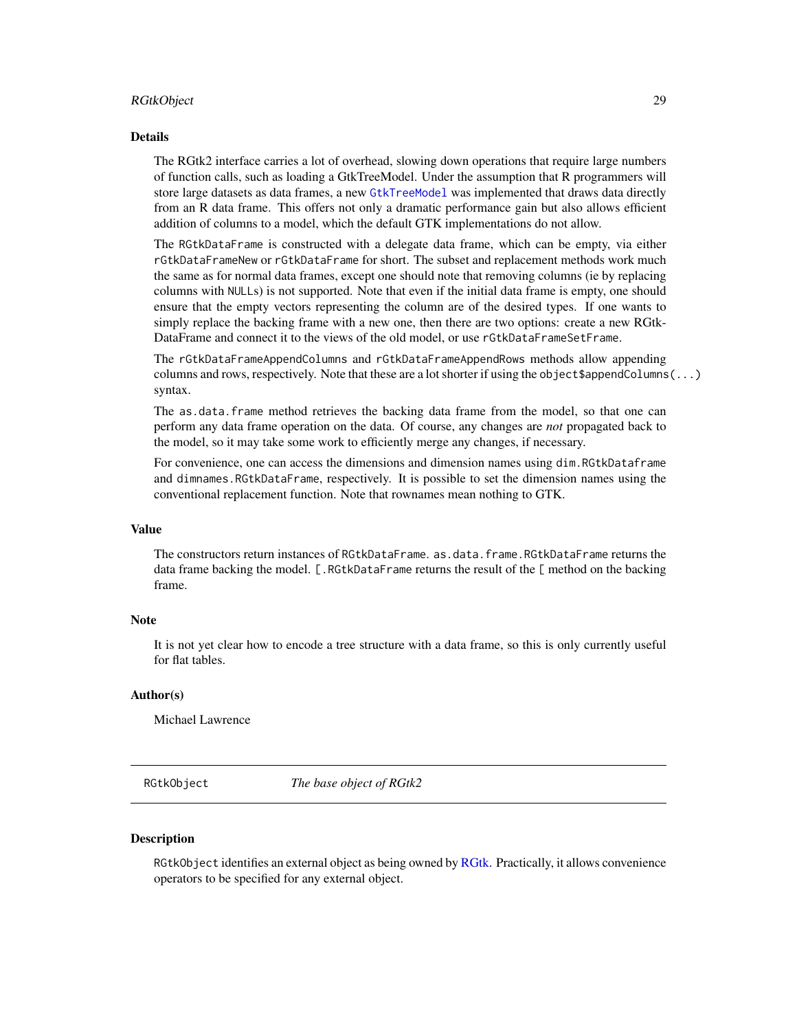#### <span id="page-28-0"></span>RGtkObject 29

# Details

The RGtk2 interface carries a lot of overhead, slowing down operations that require large numbers of function calls, such as loading a GtkTreeModel. Under the assumption that R programmers will store large datasets as data frames, a new [GtkTreeModel](#page-0-0) was implemented that draws data directly from an R data frame. This offers not only a dramatic performance gain but also allows efficient addition of columns to a model, which the default GTK implementations do not allow.

The RGtkDataFrame is constructed with a delegate data frame, which can be empty, via either rGtkDataFrameNew or rGtkDataFrame for short. The subset and replacement methods work much the same as for normal data frames, except one should note that removing columns (ie by replacing columns with NULLs) is not supported. Note that even if the initial data frame is empty, one should ensure that the empty vectors representing the column are of the desired types. If one wants to simply replace the backing frame with a new one, then there are two options: create a new RGtk-DataFrame and connect it to the views of the old model, or use rGtkDataFrameSetFrame.

The rGtkDataFrameAppendColumns and rGtkDataFrameAppendRows methods allow appending columns and rows, respectively. Note that these are a lot shorter if using the object \$appendColumns( $\dots$ ) syntax.

The as.data.frame method retrieves the backing data frame from the model, so that one can perform any data frame operation on the data. Of course, any changes are *not* propagated back to the model, so it may take some work to efficiently merge any changes, if necessary.

For convenience, one can access the dimensions and dimension names using dim.RGtkDataframe and dimnames.RGtkDataFrame, respectively. It is possible to set the dimension names using the conventional replacement function. Note that rownames mean nothing to GTK.

# Value

The constructors return instances of RGtkDataFrame. as.data.frame.RGtkDataFrame returns the data frame backing the model. [.RGtkDataFrame returns the result of the [ method on the backing frame.

#### Note

It is not yet clear how to encode a tree structure with a data frame, so this is only currently useful for flat tables.

#### Author(s)

Michael Lawrence

<span id="page-28-2"></span>RGtkObject *The base object of RGtk2*

# <span id="page-28-1"></span>Description

RGtkObject identifies an external object as being owned by [RGtk.](#page-26-1) Practically, it allows convenience operators to be specified for any external object.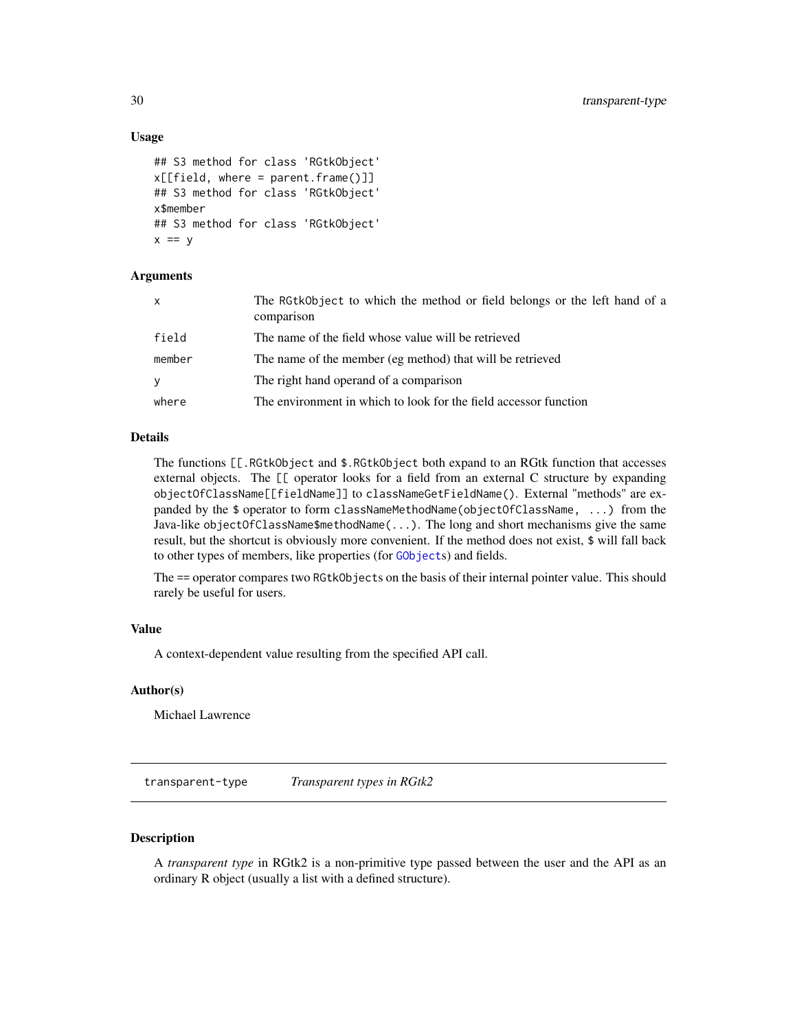# Usage

```
## S3 method for class 'RGtkObject'
x[[field, where = parent-frame()]]## S3 method for class 'RGtkObject'
x$member
## S3 method for class 'RGtkObject'
x == y
```
# Arguments

| $\mathsf{X}$ | The RGtkObject to which the method or field belongs or the left hand of a<br>comparison |
|--------------|-----------------------------------------------------------------------------------------|
| field        | The name of the field whose value will be retrieved                                     |
| member       | The name of the member (eg method) that will be retrieved                               |
| y            | The right hand operand of a comparison                                                  |
| where        | The environment in which to look for the field accessor function                        |

# Details

The functions [[.RGtkObject and \$.RGtkObject both expand to an RGtk function that accesses external objects. The [[ operator looks for a field from an external C structure by expanding objectOfClassName[[fieldName]] to classNameGetFieldName(). External "methods" are expanded by the \$ operator to form classNameMethodName(objectOfClassName, ...) from the Java-like objectOfClassName\$methodName $(\ldots)$ . The long and short mechanisms give the same result, but the shortcut is obviously more convenient. If the method does not exist, \$ will fall back to other types of members, like properties (for [GObject](#page-13-1)s) and fields.

The == operator compares two RGtkObjects on the basis of their internal pointer value. This should rarely be useful for users.

# Value

A context-dependent value resulting from the specified API call.

#### Author(s)

Michael Lawrence

<span id="page-29-1"></span>transparent-type *Transparent types in RGtk2*

# Description

A *transparent type* in RGtk2 is a non-primitive type passed between the user and the API as an ordinary R object (usually a list with a defined structure).

<span id="page-29-0"></span>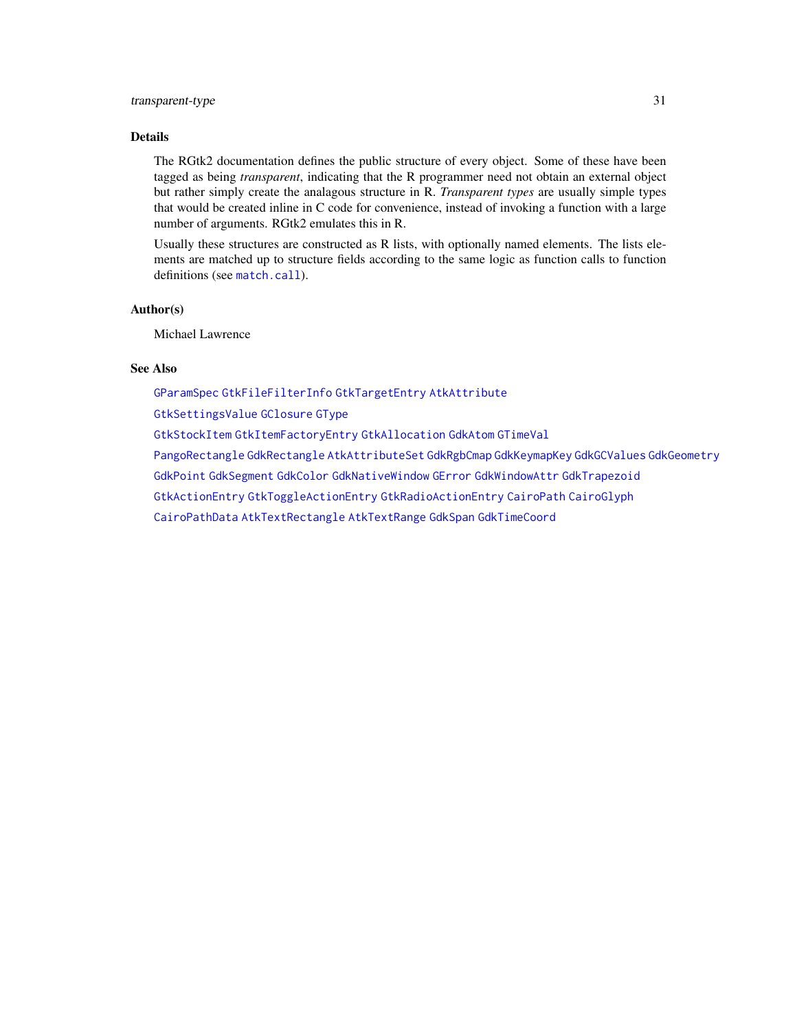# <span id="page-30-0"></span>Details

The RGtk2 documentation defines the public structure of every object. Some of these have been tagged as being *transparent*, indicating that the R programmer need not obtain an external object but rather simply create the analagous structure in R. *Transparent types* are usually simple types that would be created inline in C code for convenience, instead of invoking a function with a large number of arguments. RGtk2 emulates this in R.

Usually these structures are constructed as R lists, with optionally named elements. The lists elements are matched up to structure fields according to the same logic as function calls to function definitions (see [match.call](#page-0-0)).

# Author(s)

Michael Lawrence

# See Also

[GParamSpec](#page-0-0) [GtkFileFilterInfo](#page-0-0) [GtkTargetEntry](#page-0-0) [AtkAttribute](#page-0-0)

[GtkSettingsValue](#page-0-0) [GClosure](#page-0-0) [GType](#page-24-1)

[GtkStockItem](#page-0-0) [GtkItemFactoryEntry](#page-0-0) [GtkAllocation](#page-0-0) [GdkAtom](#page-0-0) [GTimeVal](#page-0-0)

[PangoRectangle](#page-0-0) [GdkRectangle](#page-0-0) [AtkAttributeSet](#page-0-0) [GdkRgbCmap](#page-0-0) [GdkKeymapKey](#page-0-0) [GdkGCValues](#page-0-0) [GdkGeometry](#page-0-0)

[GdkPoint](#page-0-0) [GdkSegment](#page-0-0) [GdkColor](#page-0-0) [GdkNativeWindow](#page-0-0) [GError](#page-0-0) [GdkWindowAttr](#page-0-0) [GdkTrapezoid](#page-0-0)

[GtkActionEntry](#page-0-0) [GtkToggleActionEntry](#page-0-0) [GtkRadioActionEntry](#page-0-0) [CairoPath](#page-0-0) [CairoGlyph](#page-0-0)

[CairoPathData](#page-0-0) [AtkTextRectangle](#page-0-0) [AtkTextRange](#page-0-0) [GdkSpan](#page-0-0) [GdkTimeCoord](#page-0-0)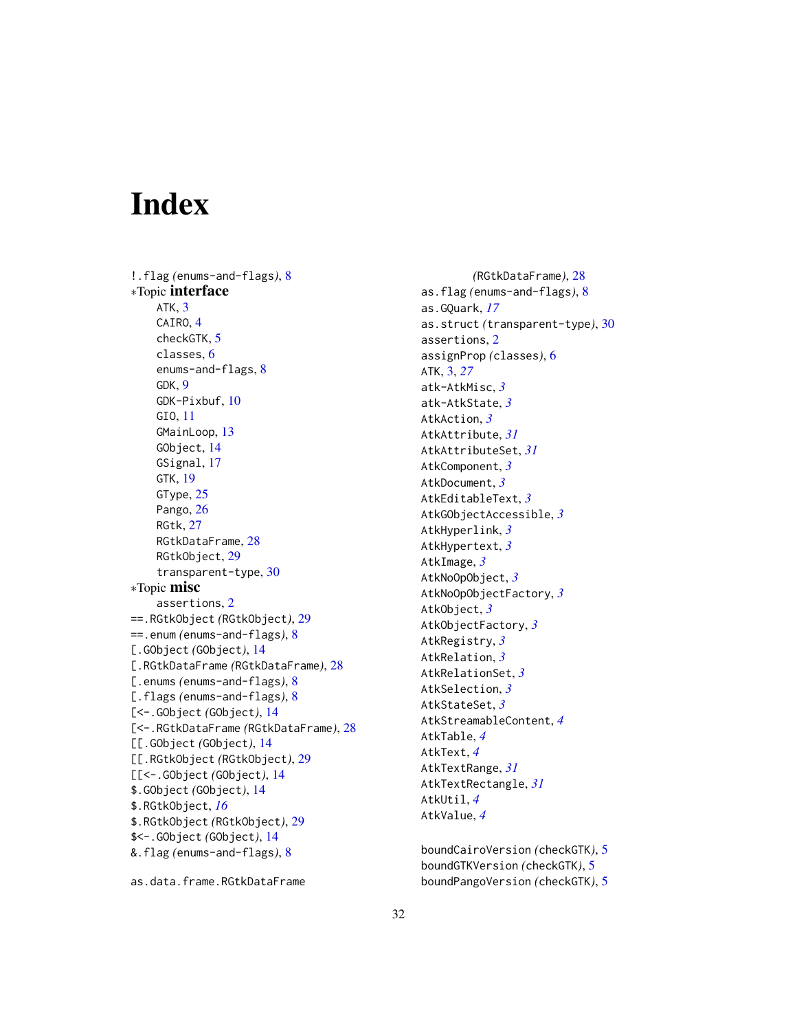# <span id="page-31-0"></span>Index

!.flag *(*enums-and-flags*)*, [8](#page-7-0) ∗Topic interface ATK, [3](#page-2-0) CAIRO, [4](#page-3-0) checkGTK, [5](#page-4-0) classes, [6](#page-5-0) enums-and-flags, [8](#page-7-0) GDK, [9](#page-8-0) GDK-Pixbuf, [10](#page-9-0) GIO, [11](#page-10-0) GMainLoop, [13](#page-12-0) GObject, [14](#page-13-0) GSignal, [17](#page-16-0) GTK, [19](#page-18-0) GType, [25](#page-24-0) Pango, [26](#page-25-0) RGtk, [27](#page-26-0) RGtkDataFrame, [28](#page-27-0) RGtkObject, [29](#page-28-0) transparent-type, [30](#page-29-0) ∗Topic misc assertions, [2](#page-1-0) ==.RGtkObject *(*RGtkObject*)*, [29](#page-28-0) ==.enum *(*enums-and-flags*)*, [8](#page-7-0) [.GObject *(*GObject*)*, [14](#page-13-0) [.RGtkDataFrame *(*RGtkDataFrame*)*, [28](#page-27-0) [.enums *(*enums-and-flags*)*, [8](#page-7-0) [.flags *(*enums-and-flags*)*, [8](#page-7-0) [<-.GObject *(*GObject*)*, [14](#page-13-0) [<-.RGtkDataFrame *(*RGtkDataFrame*)*, [28](#page-27-0) [[.GObject *(*GObject*)*, [14](#page-13-0) [[.RGtkObject *(*RGtkObject*)*, [29](#page-28-0) [[<-.GObject *(*GObject*)*, [14](#page-13-0) \$.GObject *(*GObject*)*, [14](#page-13-0) \$.RGtkObject, *[16](#page-15-0)* \$.RGtkObject *(*RGtkObject*)*, [29](#page-28-0) \$<-.GObject *(*GObject*)*, [14](#page-13-0) &.flag *(*enums-and-flags*)*, [8](#page-7-0)

*(*RGtkDataFrame*)*, [28](#page-27-0) as.flag *(*enums-and-flags*)*, [8](#page-7-0) as.GQuark, *[17](#page-16-0)* as.struct *(*transparent-type*)*, [30](#page-29-0) assertions, [2](#page-1-0) assignProp *(*classes*)*, [6](#page-5-0) ATK, [3,](#page-2-0) *[27](#page-26-0)* atk-AtkMisc, *[3](#page-2-0)* atk-AtkState, *[3](#page-2-0)* AtkAction, *[3](#page-2-0)* AtkAttribute, *[31](#page-30-0)* AtkAttributeSet, *[31](#page-30-0)* AtkComponent, *[3](#page-2-0)* AtkDocument, *[3](#page-2-0)* AtkEditableText, *[3](#page-2-0)* AtkGObjectAccessible, *[3](#page-2-0)* AtkHyperlink, *[3](#page-2-0)* AtkHypertext, *[3](#page-2-0)* AtkImage, *[3](#page-2-0)* AtkNoOpObject, *[3](#page-2-0)* AtkNoOpObjectFactory, *[3](#page-2-0)* AtkObject, *[3](#page-2-0)* AtkObjectFactory, *[3](#page-2-0)* AtkRegistry, *[3](#page-2-0)* AtkRelation, *[3](#page-2-0)* AtkRelationSet, *[3](#page-2-0)* AtkSelection, *[3](#page-2-0)* AtkStateSet, *[3](#page-2-0)* AtkStreamableContent, *[4](#page-3-0)* AtkTable, *[4](#page-3-0)* AtkText, *[4](#page-3-0)* AtkTextRange, *[31](#page-30-0)* AtkTextRectangle, *[31](#page-30-0)* AtkUtil, *[4](#page-3-0)* AtkValue, *[4](#page-3-0)*

boundCairoVersion *(*checkGTK*)*, [5](#page-4-0) boundGTKVersion *(*checkGTK*)*, [5](#page-4-0) boundPangoVersion *(*checkGTK*)*, [5](#page-4-0)

as.data.frame.RGtkDataFrame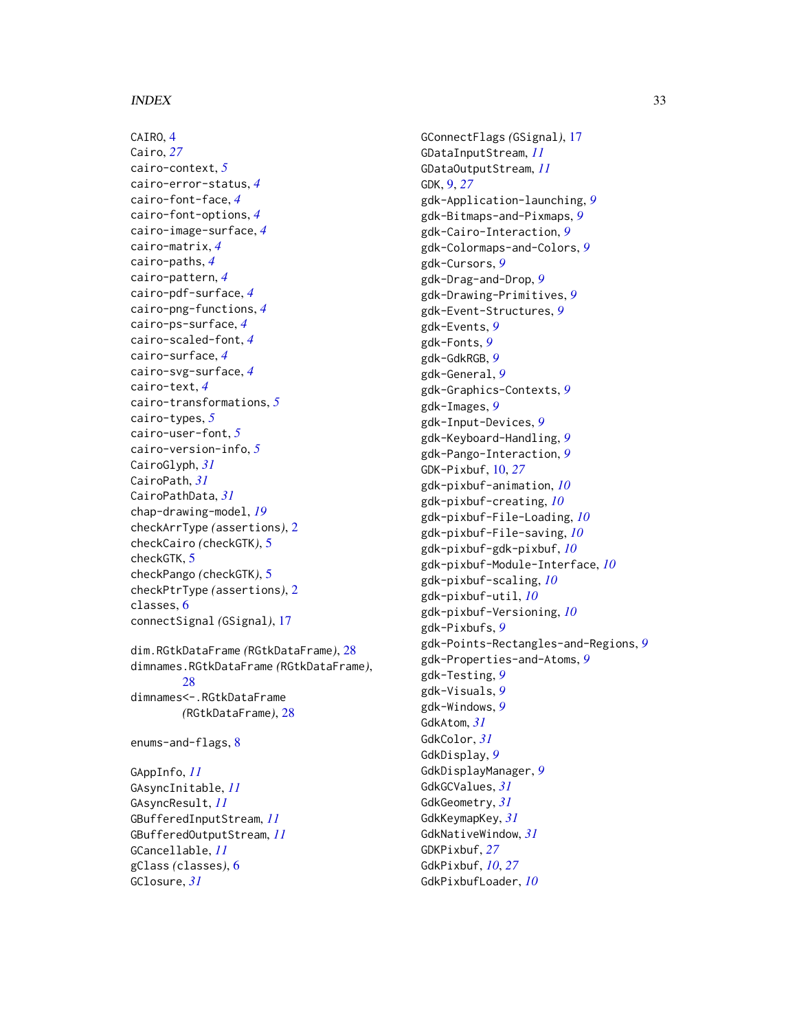# $I<sub>N</sub>DEX$  33

CAIRO, [4](#page-3-0) Cairo, *[27](#page-26-0)* cairo-context, *[5](#page-4-0)* cairo-error-status, *[4](#page-3-0)* cairo-font-face, *[4](#page-3-0)* cairo-font-options, *[4](#page-3-0)* cairo-image-surface, *[4](#page-3-0)* cairo-matrix, *[4](#page-3-0)* cairo-paths, *[4](#page-3-0)* cairo-pattern, *[4](#page-3-0)* cairo-pdf-surface, *[4](#page-3-0)* cairo-png-functions, *[4](#page-3-0)* cairo-ps-surface, *[4](#page-3-0)* cairo-scaled-font, *[4](#page-3-0)* cairo-surface, *[4](#page-3-0)* cairo-svg-surface, *[4](#page-3-0)* cairo-text, *[4](#page-3-0)* cairo-transformations, *[5](#page-4-0)* cairo-types, *[5](#page-4-0)* cairo-user-font, *[5](#page-4-0)* cairo-version-info, *[5](#page-4-0)* CairoGlyph, *[31](#page-30-0)* CairoPath, *[31](#page-30-0)* CairoPathData, *[31](#page-30-0)* chap-drawing-model, *[19](#page-18-0)* checkArrType *(*assertions*)*, [2](#page-1-0) checkCairo *(*checkGTK*)*, [5](#page-4-0) checkGTK, [5](#page-4-0) checkPango *(*checkGTK*)*, [5](#page-4-0) checkPtrType *(*assertions*)*, [2](#page-1-0) classes, [6](#page-5-0) connectSignal *(*GSignal*)*, [17](#page-16-0) dim.RGtkDataFrame *(*RGtkDataFrame*)*, [28](#page-27-0) dimnames.RGtkDataFrame *(*RGtkDataFrame*)*, [28](#page-27-0) dimnames<-.RGtkDataFrame

*(*RGtkDataFrame*)*, [28](#page-27-0)

enums-and-flags, [8](#page-7-0)

GAppInfo, *[11](#page-10-0)* GAsyncInitable, *[11](#page-10-0)* GAsyncResult, *[11](#page-10-0)* GBufferedInputStream, *[11](#page-10-0)* GBufferedOutputStream, *[11](#page-10-0)* GCancellable, *[11](#page-10-0)* gClass *(*classes*)*, [6](#page-5-0) GClosure, *[31](#page-30-0)*

GConnectFlags *(*GSignal*)*, [17](#page-16-0) GDataInputStream, *[11](#page-10-0)* GDataOutputStream, *[11](#page-10-0)* GDK, [9,](#page-8-0) *[27](#page-26-0)* gdk-Application-launching, *[9](#page-8-0)* gdk-Bitmaps-and-Pixmaps, *[9](#page-8-0)* gdk-Cairo-Interaction, *[9](#page-8-0)* gdk-Colormaps-and-Colors, *[9](#page-8-0)* gdk-Cursors, *[9](#page-8-0)* gdk-Drag-and-Drop, *[9](#page-8-0)* gdk-Drawing-Primitives, *[9](#page-8-0)* gdk-Event-Structures, *[9](#page-8-0)* gdk-Events, *[9](#page-8-0)* gdk-Fonts, *[9](#page-8-0)* gdk-GdkRGB, *[9](#page-8-0)* gdk-General, *[9](#page-8-0)* gdk-Graphics-Contexts, *[9](#page-8-0)* gdk-Images, *[9](#page-8-0)* gdk-Input-Devices, *[9](#page-8-0)* gdk-Keyboard-Handling, *[9](#page-8-0)* gdk-Pango-Interaction, *[9](#page-8-0)* GDK-Pixbuf, [10,](#page-9-0) *[27](#page-26-0)* gdk-pixbuf-animation, *[10](#page-9-0)* gdk-pixbuf-creating, *[10](#page-9-0)* gdk-pixbuf-File-Loading, *[10](#page-9-0)* gdk-pixbuf-File-saving, *[10](#page-9-0)* gdk-pixbuf-gdk-pixbuf, *[10](#page-9-0)* gdk-pixbuf-Module-Interface, *[10](#page-9-0)* gdk-pixbuf-scaling, *[10](#page-9-0)* gdk-pixbuf-util, *[10](#page-9-0)* gdk-pixbuf-Versioning, *[10](#page-9-0)* gdk-Pixbufs, *[9](#page-8-0)* gdk-Points-Rectangles-and-Regions, *[9](#page-8-0)* gdk-Properties-and-Atoms, *[9](#page-8-0)* gdk-Testing, *[9](#page-8-0)* gdk-Visuals, *[9](#page-8-0)* gdk-Windows, *[9](#page-8-0)* GdkAtom, *[31](#page-30-0)* GdkColor, *[31](#page-30-0)* GdkDisplay, *[9](#page-8-0)* GdkDisplayManager, *[9](#page-8-0)* GdkGCValues, *[31](#page-30-0)* GdkGeometry, *[31](#page-30-0)* GdkKeymapKey, *[31](#page-30-0)* GdkNativeWindow, *[31](#page-30-0)* GDKPixbuf, *[27](#page-26-0)* GdkPixbuf, *[10](#page-9-0)*, *[27](#page-26-0)* GdkPixbufLoader, *[10](#page-9-0)*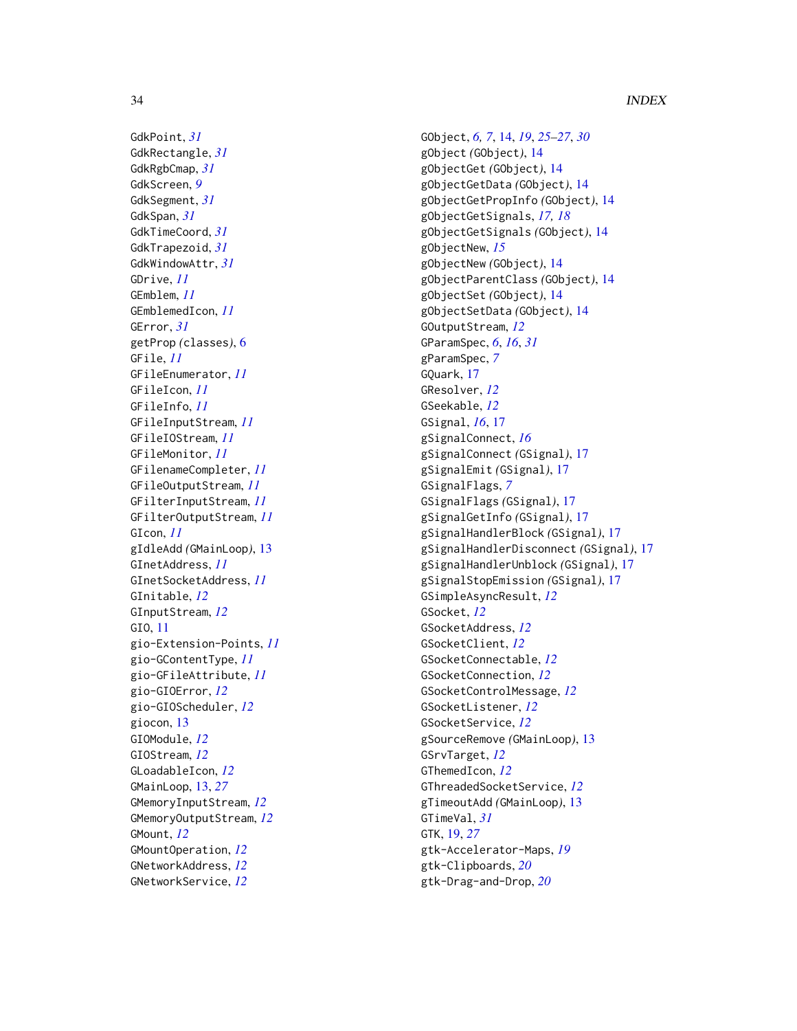GdkPoint, *[31](#page-30-0)* GdkRectangle, *[31](#page-30-0)* GdkRgbCmap, *[31](#page-30-0)* GdkScreen, *[9](#page-8-0)* GdkSegment, *[31](#page-30-0)* GdkSpan, *[31](#page-30-0)* GdkTimeCoord, *[31](#page-30-0)* GdkTrapezoid, *[31](#page-30-0)* GdkWindowAttr, *[31](#page-30-0)* GDrive, *[11](#page-10-0)* GEmblem, *[11](#page-10-0)* GEmblemedIcon, *[11](#page-10-0)* GError, *[31](#page-30-0)* getProp *(*classes*)*, [6](#page-5-0) GFile, *[11](#page-10-0)* GFileEnumerator, *[11](#page-10-0)* GFileIcon, *[11](#page-10-0)* GFileInfo, *[11](#page-10-0)* GFileInputStream, *[11](#page-10-0)* GFileIOStream, *[11](#page-10-0)* GFileMonitor, *[11](#page-10-0)* GFilenameCompleter, *[11](#page-10-0)* GFileOutputStream, *[11](#page-10-0)* GFilterInputStream, *[11](#page-10-0)* GFilterOutputStream, *[11](#page-10-0)* GIcon, *[11](#page-10-0)* gIdleAdd *(*GMainLoop*)*, [13](#page-12-0) GInetAddress, *[11](#page-10-0)* GInetSocketAddress, *[11](#page-10-0)* GInitable, *[12](#page-11-0)* GInputStream, *[12](#page-11-0)* GIO, [11](#page-10-0) gio-Extension-Points, *[11](#page-10-0)* gio-GContentType, *[11](#page-10-0)* gio-GFileAttribute, *[11](#page-10-0)* gio-GIOError, *[12](#page-11-0)* gio-GIOScheduler, *[12](#page-11-0)* giocon, [13](#page-12-0) GIOModule, *[12](#page-11-0)* GIOStream, *[12](#page-11-0)* GLoadableIcon, *[12](#page-11-0)* GMainLoop, [13,](#page-12-0) *[27](#page-26-0)* GMemoryInputStream, *[12](#page-11-0)* GMemoryOutputStream, *[12](#page-11-0)* GMount, *[12](#page-11-0)* GMountOperation, *[12](#page-11-0)* GNetworkAddress, *[12](#page-11-0)* GNetworkService, *[12](#page-11-0)*

GObject, *[6,](#page-5-0) [7](#page-6-0)*, [14,](#page-13-0) *[19](#page-18-0)*, *[25](#page-24-0)[–27](#page-26-0)*, *[30](#page-29-0)* gObject *(*GObject*)*, [14](#page-13-0) gObjectGet *(*GObject*)*, [14](#page-13-0) gObjectGetData *(*GObject*)*, [14](#page-13-0) gObjectGetPropInfo *(*GObject*)*, [14](#page-13-0) gObjectGetSignals, *[17,](#page-16-0) [18](#page-17-0)* gObjectGetSignals *(*GObject*)*, [14](#page-13-0) gObjectNew, *[15](#page-14-0)* gObjectNew *(*GObject*)*, [14](#page-13-0) gObjectParentClass *(*GObject*)*, [14](#page-13-0) gObjectSet *(*GObject*)*, [14](#page-13-0) gObjectSetData *(*GObject*)*, [14](#page-13-0) GOutputStream, *[12](#page-11-0)* GParamSpec, *[6](#page-5-0)*, *[16](#page-15-0)*, *[31](#page-30-0)* gParamSpec, *[7](#page-6-0)* GQuark, [17](#page-16-0) GResolver, *[12](#page-11-0)* GSeekable, *[12](#page-11-0)* GSignal, *[16](#page-15-0)*, [17](#page-16-0) gSignalConnect, *[16](#page-15-0)* gSignalConnect *(*GSignal*)*, [17](#page-16-0) gSignalEmit *(*GSignal*)*, [17](#page-16-0) GSignalFlags, *[7](#page-6-0)* GSignalFlags *(*GSignal*)*, [17](#page-16-0) gSignalGetInfo *(*GSignal*)*, [17](#page-16-0) gSignalHandlerBlock *(*GSignal*)*, [17](#page-16-0) gSignalHandlerDisconnect *(*GSignal*)*, [17](#page-16-0) gSignalHandlerUnblock *(*GSignal*)*, [17](#page-16-0) gSignalStopEmission *(*GSignal*)*, [17](#page-16-0) GSimpleAsyncResult, *[12](#page-11-0)* GSocket, *[12](#page-11-0)* GSocketAddress, *[12](#page-11-0)* GSocketClient, *[12](#page-11-0)* GSocketConnectable, *[12](#page-11-0)* GSocketConnection, *[12](#page-11-0)* GSocketControlMessage, *[12](#page-11-0)* GSocketListener, *[12](#page-11-0)* GSocketService, *[12](#page-11-0)* gSourceRemove *(*GMainLoop*)*, [13](#page-12-0) GSrvTarget, *[12](#page-11-0)* GThemedIcon, *[12](#page-11-0)* GThreadedSocketService, *[12](#page-11-0)* gTimeoutAdd *(*GMainLoop*)*, [13](#page-12-0) GTimeVal, *[31](#page-30-0)* GTK, [19,](#page-18-0) *[27](#page-26-0)* gtk-Accelerator-Maps, *[19](#page-18-0)* gtk-Clipboards, *[20](#page-19-0)* gtk-Drag-and-Drop, *[20](#page-19-0)*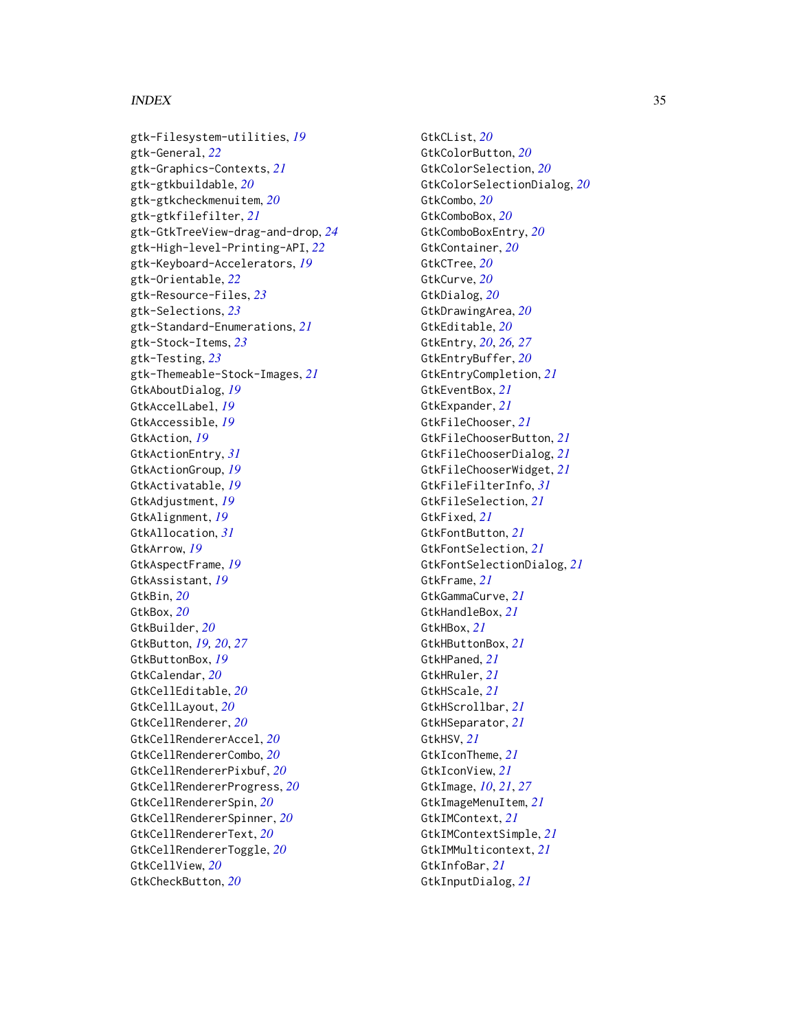# $I<sub>N</sub>$  and  $I<sub>35</sub>$  and  $I<sub>35</sub>$  and  $I<sub>35</sub>$  and  $I<sub>35</sub>$  and  $I<sub>35</sub>$  and  $I<sub>35</sub>$  and  $I<sub>35</sub>$  and  $I<sub>35</sub>$  and  $I<sub>35</sub>$  and  $I<sub>35</sub>$  and  $I<sub>35</sub>$  and  $I<sub>35</sub>$  and  $I<sub>35</sub>$  and

gtk-Filesystem-utilities, *[19](#page-18-0)* gtk-General, *[22](#page-21-0)* gtk-Graphics-Contexts, *[21](#page-20-0)* gtk-gtkbuildable, *[20](#page-19-0)* gtk-gtkcheckmenuitem, *[20](#page-19-0)* gtk-gtkfilefilter, *[21](#page-20-0)* gtk-GtkTreeView-drag-and-drop, *[24](#page-23-0)* gtk-High-level-Printing-API, *[22](#page-21-0)* gtk-Keyboard-Accelerators, *[19](#page-18-0)* gtk-Orientable, *[22](#page-21-0)* gtk-Resource-Files, *[23](#page-22-0)* gtk-Selections, *[23](#page-22-0)* gtk-Standard-Enumerations, *[21](#page-20-0)* gtk-Stock-Items, *[23](#page-22-0)* gtk-Testing, *[23](#page-22-0)* gtk-Themeable-Stock-Images, *[21](#page-20-0)* GtkAboutDialog, *[19](#page-18-0)* GtkAccelLabel, *[19](#page-18-0)* GtkAccessible, *[19](#page-18-0)* GtkAction, *[19](#page-18-0)* GtkActionEntry, *[31](#page-30-0)* GtkActionGroup, *[19](#page-18-0)* GtkActivatable, *[19](#page-18-0)* GtkAdjustment, *[19](#page-18-0)* GtkAlignment, *[19](#page-18-0)* GtkAllocation, *[31](#page-30-0)* GtkArrow, *[19](#page-18-0)* GtkAspectFrame, *[19](#page-18-0)* GtkAssistant, *[19](#page-18-0)* GtkBin, *[20](#page-19-0)* GtkBox, *[20](#page-19-0)* GtkBuilder, *[20](#page-19-0)* GtkButton, *[19,](#page-18-0) [20](#page-19-0)*, *[27](#page-26-0)* GtkButtonBox, *[19](#page-18-0)* GtkCalendar, *[20](#page-19-0)* GtkCellEditable, *[20](#page-19-0)* GtkCellLayout, *[20](#page-19-0)* GtkCellRenderer, *[20](#page-19-0)* GtkCellRendererAccel, *[20](#page-19-0)* GtkCellRendererCombo, *[20](#page-19-0)* GtkCellRendererPixbuf, *[20](#page-19-0)* GtkCellRendererProgress, *[20](#page-19-0)* GtkCellRendererSpin, *[20](#page-19-0)* GtkCellRendererSpinner, *[20](#page-19-0)* GtkCellRendererText, *[20](#page-19-0)* GtkCellRendererToggle, *[20](#page-19-0)* GtkCellView, *[20](#page-19-0)* GtkCheckButton, *[20](#page-19-0)*

GtkCList, *[20](#page-19-0)* GtkColorButton, *[20](#page-19-0)* GtkColorSelection, *[20](#page-19-0)* GtkColorSelectionDialog, *[20](#page-19-0)* GtkCombo, *[20](#page-19-0)* GtkComboBox, *[20](#page-19-0)* GtkComboBoxEntry, *[20](#page-19-0)* GtkContainer, *[20](#page-19-0)* GtkCTree, *[20](#page-19-0)* GtkCurve, *[20](#page-19-0)* GtkDialog, *[20](#page-19-0)* GtkDrawingArea, *[20](#page-19-0)* GtkEditable, *[20](#page-19-0)* GtkEntry, *[20](#page-19-0)*, *[26,](#page-25-0) [27](#page-26-0)* GtkEntryBuffer, *[20](#page-19-0)* GtkEntryCompletion, *[21](#page-20-0)* GtkEventBox, *[21](#page-20-0)* GtkExpander, *[21](#page-20-0)* GtkFileChooser, *[21](#page-20-0)* GtkFileChooserButton, *[21](#page-20-0)* GtkFileChooserDialog, *[21](#page-20-0)* GtkFileChooserWidget, *[21](#page-20-0)* GtkFileFilterInfo, *[31](#page-30-0)* GtkFileSelection, *[21](#page-20-0)* GtkFixed, *[21](#page-20-0)* GtkFontButton, *[21](#page-20-0)* GtkFontSelection, *[21](#page-20-0)* GtkFontSelectionDialog, *[21](#page-20-0)* GtkFrame, *[21](#page-20-0)* GtkGammaCurve, *[21](#page-20-0)* GtkHandleBox, *[21](#page-20-0)* GtkHBox, *[21](#page-20-0)* GtkHButtonBox, *[21](#page-20-0)* GtkHPaned, *[21](#page-20-0)* GtkHRuler, *[21](#page-20-0)* GtkHScale, *[21](#page-20-0)* GtkHScrollbar, *[21](#page-20-0)* GtkHSeparator, *[21](#page-20-0)* GtkHSV, *[21](#page-20-0)* GtkIconTheme, *[21](#page-20-0)* GtkIconView, *[21](#page-20-0)* GtkImage, *[10](#page-9-0)*, *[21](#page-20-0)*, *[27](#page-26-0)* GtkImageMenuItem, *[21](#page-20-0)* GtkIMContext, *[21](#page-20-0)* GtkIMContextSimple, *[21](#page-20-0)* GtkIMMulticontext, *[21](#page-20-0)* GtkInfoBar, *[21](#page-20-0)* GtkInputDialog, *[21](#page-20-0)*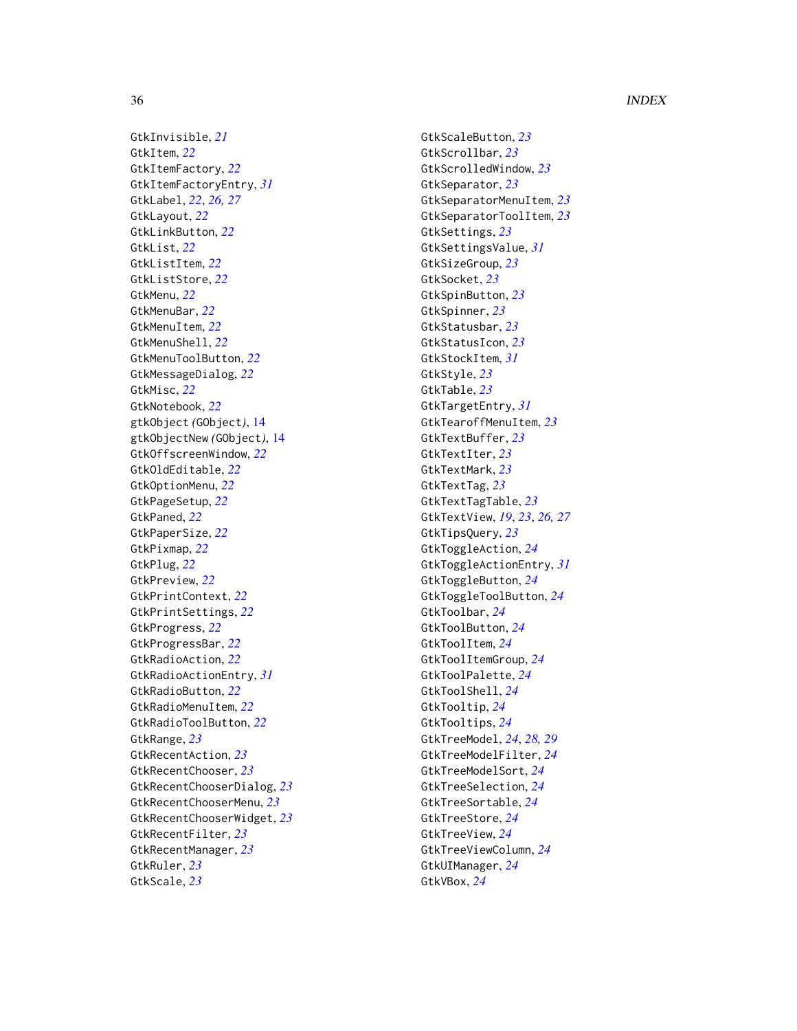36 INDEX

GtkInvisible , *[21](#page-20-0)* GtkItem , *[22](#page-21-0)* GtkItemFactory , *[22](#page-21-0)* GtkItemFactoryEntry , *[31](#page-30-0)* GtkLabel , *[22](#page-21-0)* , *[26,](#page-25-0) [27](#page-26-0)* GtkLayout , *[22](#page-21-0)* GtkLinkButton , *[22](#page-21-0)* GtkList , *[22](#page-21-0)* GtkListItem , *[22](#page-21-0)* GtkListStore , *[22](#page-21-0)* GtkMenu , *[22](#page-21-0)* GtkMenuBar , *[22](#page-21-0)* GtkMenuItem , *[22](#page-21-0)* GtkMenuShell , *[22](#page-21-0)* GtkMenuToolButton , *[22](#page-21-0)* GtkMessageDialog , *[22](#page-21-0)* GtkMisc , *[22](#page-21-0)* GtkNotebook , *[22](#page-21-0)* gtkObject *(*GObject *)* , [14](#page-13-0) gtkObjectNew *(*GObject *)* , [14](#page-13-0) GtkOffscreenWindow , *[22](#page-21-0)* GtkOldEditable , *[22](#page-21-0)* GtkOptionMenu , *[22](#page-21-0)* GtkPageSetup , *[22](#page-21-0)* GtkPaned , *[22](#page-21-0)* GtkPaperSize , *[22](#page-21-0)* GtkPixmap , *[22](#page-21-0)* GtkPlug , *[22](#page-21-0)* GtkPreview , *[22](#page-21-0)* GtkPrintContext , *[22](#page-21-0)* GtkPrintSettings , *[22](#page-21-0)* GtkProgress , *[22](#page-21-0)* GtkProgressBar , *[22](#page-21-0)* GtkRadioAction , *[22](#page-21-0)* GtkRadioActionEntry , *[31](#page-30-0)* GtkRadioButton , *[22](#page-21-0)* GtkRadioMenuItem , *[22](#page-21-0)* GtkRadioToolButton , *[22](#page-21-0)* GtkRange , *[23](#page-22-0)* GtkRecentAction , *[23](#page-22-0)* GtkRecentChooser , *[23](#page-22-0)* GtkRecentChooserDialog , *[23](#page-22-0)* GtkRecentChooserMenu , *[23](#page-22-0)* GtkRecentChooserWidget , *[23](#page-22-0)* GtkRecentFilter , *[23](#page-22-0)* GtkRecentManager , *[23](#page-22-0)* GtkRuler , *[23](#page-22-0)* GtkScale , *[23](#page-22-0)*

GtkScaleButton , *[23](#page-22-0)* GtkScrollbar , *[23](#page-22-0)* GtkScrolledWindow , *[23](#page-22-0)* GtkSeparator , *[23](#page-22-0)* GtkSeparatorMenuItem , *[23](#page-22-0)* GtkSeparatorToolItem , *[23](#page-22-0)* GtkSettings , *[23](#page-22-0)* GtkSettingsValue , *[31](#page-30-0)* GtkSizeGroup , *[23](#page-22-0)* GtkSocket , *[23](#page-22-0)* GtkSpinButton , *[23](#page-22-0)* GtkSpinner , *[23](#page-22-0)* GtkStatusbar , *[23](#page-22-0)* GtkStatusIcon , *[23](#page-22-0)* GtkStockItem , *[31](#page-30-0)* GtkStyle , *[23](#page-22-0)* GtkTable , *[23](#page-22-0)* GtkTargetEntry , *[31](#page-30-0)* GtkTearoffMenuItem , *[23](#page-22-0)* GtkTextBuffer , *[23](#page-22-0)* GtkTextIter , *[23](#page-22-0)* GtkTextMark , *[23](#page-22-0)* GtkTextTag , *[23](#page-22-0)* GtkTextTagTable , *[23](#page-22-0)* GtkTextView , *[19](#page-18-0)* , *[23](#page-22-0)* , *[26,](#page-25-0) [27](#page-26-0)* GtkTipsQuery , *[23](#page-22-0)* GtkToggleAction , *[24](#page-23-0)* GtkToggleActionEntry , *[31](#page-30-0)* GtkToggleButton , *[24](#page-23-0)* GtkToggleToolButton , *[24](#page-23-0)* GtkToolbar , *[24](#page-23-0)* GtkToolButton , *[24](#page-23-0)* GtkToolItem , *[24](#page-23-0)* GtkToolItemGroup , *[24](#page-23-0)* GtkToolPalette , *[24](#page-23-0)* GtkToolShell , *[24](#page-23-0)* GtkTooltip , *[24](#page-23-0)* GtkTooltips , *[24](#page-23-0)* GtkTreeModel , *[24](#page-23-0)* , *[28](#page-27-0) , [29](#page-28-0)* GtkTreeModelFilter , *[24](#page-23-0)* GtkTreeModelSort , *[24](#page-23-0)* GtkTreeSelection , *[24](#page-23-0)* GtkTreeSortable , *[24](#page-23-0)* GtkTreeStore , *[24](#page-23-0)* GtkTreeView , *[24](#page-23-0)* GtkTreeViewColumn , *[24](#page-23-0)* GtkUIManager , *[24](#page-23-0)* GtkVBox , *[24](#page-23-0)*